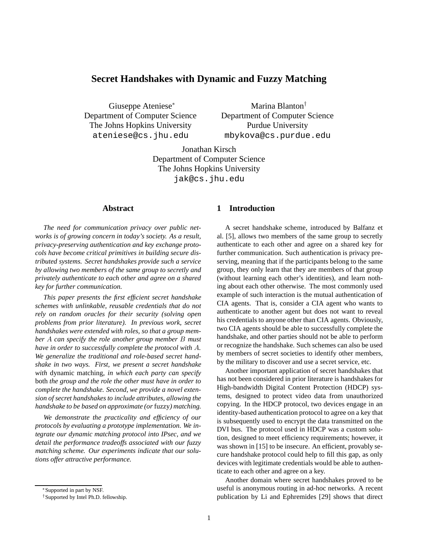# **Secret Handshakes with Dynamic and Fuzzy Matching**

Giuseppe Ateniese<sup>∗</sup> Department of Computer Science The Johns Hopkins University ateniese@cs.jhu.edu

Marina Blanton† Department of Computer Science Purdue University mbykova@cs.purdue.edu

Jonathan Kirsch Department of Computer Science The Johns Hopkins University jak@cs.jhu.edu

# **Abstract**

*The need for communication privacy over public networks is of growing concern in today's society. As a result, privacy-preserving authentication and key exchange protocols have become critical primitives in building secure distributed systems. Secret handshakes provide such a service by allowing two members of the same group to secretly and privately authenticate to each other and agree on a shared key for further communication.*

*This paper presents the first efficient secret handshake schemes with unlinkable, reusable credentials that do not rely on random oracles for their security (solving open problems from prior literature). In previous work, secret handshakes were extended with roles, so that a group member* A *can specify the role another group member* B *must have in order to successfully complete the protocol with* A*. We generalize the traditional and role-based secret handshake in two ways. First, we present a secret handshake with* dynamic matching*, in which each party can specify* both *the group and the role the other must have in order to complete the handshake. Second, we provide a novel extension of secret handshakes to include attributes, allowing the handshake to be based on approximate (or* fuzzy*) matching.*

*We demonstrate the practicality and efficiency of our protocols by evaluating a prototype implementation. We integrate our dynamic matching protocol into IPsec, and we detail the performance tradeoffs associated with our fuzzy matching scheme. Our experiments indicate that our solutions offer attractive performance.*

# **1 Introduction**

A secret handshake scheme, introduced by Balfanz et al. [5], allows two members of the same group to secretly authenticate to each other and agree on a shared key for further communication. Such authentication is privacy preserving, meaning that if the participants belong to the same group, they only learn that they are members of that group (without learning each other's identities), and learn nothing about each other otherwise. The most commonly used example of such interaction is the mutual authentication of CIA agents. That is, consider a CIA agent who wants to authenticate to another agent but does not want to reveal his credentials to anyone other than CIA agents. Obviously, two CIA agents should be able to successfully complete the handshake, and other parties should not be able to perform or recognize the handshake. Such schemes can also be used by members of secret societies to identify other members, by the military to discover and use a secret service, etc.

Another important application of secret handshakes that has not been considered in prior literature is handshakes for High-bandwidth Digital Content Protection (HDCP) systems, designed to protect video data from unauthorized copying. In the HDCP protocol, two devices engage in an identity-based authentication protocol to agree on a key that is subsequently used to encrypt the data transmitted on the DVI bus. The protocol used in HDCP was a custom solution, designed to meet efficiency requirements; however, it was shown in [15] to be insecure. An efficient, provably secure handshake protocol could help to fill this gap, as only devices with legitimate credentials would be able to authenticate to each other and agree on a key.

Another domain where secret handshakes proved to be useful is anonymous routing in ad-hoc networks. A recent publication by Li and Ephremides [29] shows that direct

<sup>∗</sup>Supported in part by NSF.

<sup>†</sup>Supported by Intel Ph.D. fellowship.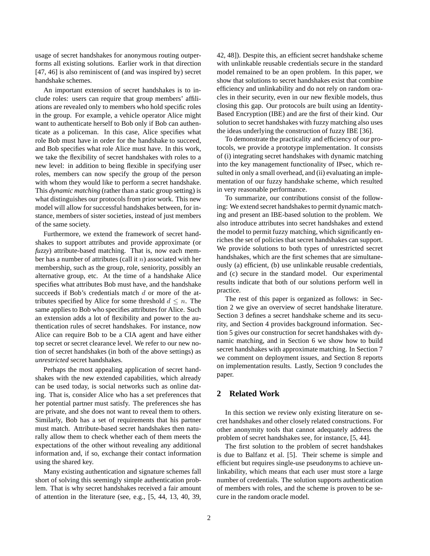usage of secret handshakes for anonymous routing outperforms all existing solutions. Earlier work in that direction [47, 46] is also reminiscent of (and was inspired by) secret handshake schemes.

An important extension of secret handshakes is to include roles: users can require that group members' affiliations are revealed only to members who hold specific roles in the group. For example, a vehicle operator Alice might want to authenticate herself to Bob only if Bob can authenticate as a policeman. In this case, Alice specifies what role Bob must have in order for the handshake to succeed, and Bob specifies what role Alice must have. In this work, we take the flexibility of secret handshakes with roles to a new level: in addition to being flexible in specifying user roles, members can now specify the group of the person with whom they would like to perform a secret handshake. This *dynamic matching* (rather than a static group setting) is what distinguishes our protocols from prior work. This new model will allow for successful handshakes between, for instance, members of sister societies, instead of just members of the same society.

Furthermore, we extend the framework of secret handshakes to support attributes and provide approximate (or *fuzzy*) attribute-based matching. That is, now each member has a number of attributes (call it  $n$ ) associated with her membership, such as the group, role, seniority, possibly an alternative group, etc. At the time of a handshake Alice specifies what attributes Bob must have, and the handshake succeeds if Bob's credentials match d or more of the attributes specified by Alice for some threshold  $d \leq n$ . The same applies to Bob who specifies attributes for Alice. Such an extension adds a lot of flexibility and power to the authentication rules of secret handshakes. For instance, now Alice can require Bob to be a CIA agent and have either top secret or secret clearance level. We refer to our new notion of secret handshakes (in both of the above settings) as *unrestricted* secret handshakes.

Perhaps the most appealing application of secret handshakes with the new extended capabilities, which already can be used today, is social networks such as online dating. That is, consider Alice who has a set preferences that her potential partner must satisfy. The preferences she has are private, and she does not want to reveal them to others. Similarly, Bob has a set of requirements that his partner must match. Attribute-based secret handshakes then naturally allow them to check whether each of them meets the expectations of the other without revealing any additional information and, if so, exchange their contact information using the shared key.

Many existing authentication and signature schemes fall short of solving this seemingly simple authentication problem. That is why secret handshakes received a fair amount of attention in the literature (see, e.g., [5, 44, 13, 40, 39,

42, 48]). Despite this, an efficient secret handshake scheme with unlinkable reusable credentials secure in the standard model remained to be an open problem. In this paper, we show that solutions to secret handshakes exist that combine efficiency and unlinkability and do not rely on random oracles in their security, even in our new flexible models, thus closing this gap. Our protocols are built using an Identity-Based Encryption (IBE) and are the first of their kind. Our solution to secret handshakes with fuzzy matching also uses the ideas underlying the construction of fuzzy IBE [36].

To demonstrate the practicality and efficiency of our protocols, we provide a prototype implementation. It consists of (i) integrating secret handshakes with dynamic matching into the key management functionality of IPsec, which resulted in only a small overhead, and (ii) evaluating an implementation of our fuzzy handshake scheme, which resulted in very reasonable performance.

To summarize, our contributions consist of the following: We extend secret handshakes to permit dynamic matching and present an IBE-based solution to the problem. We also introduce attributes into secret handshakes and extend the model to permit fuzzy matching, which significantly enriches the set of policies that secret handshakes can support. We provide solutions to both types of unrestricted secret handshakes, which are the first schemes that are simultaneously (a) efficient, (b) use unlinkable reusable credentials, and (c) secure in the standard model. Our experimental results indicate that both of our solutions perform well in practice.

The rest of this paper is organized as follows: in Section 2 we give an overview of secret handshake literature. Section 3 defines a secret handshake scheme and its security, and Section 4 provides background information. Section 5 gives our construction for secret handshakes with dynamic matching, and in Section 6 we show how to build secret handshakes with approximate matching. In Section 7 we comment on deployment issues, and Section 8 reports on implementation results. Lastly, Section 9 concludes the paper.

# **2 Related Work**

In this section we review only existing literature on secret handshakes and other closely related constructions. For other anonymity tools that cannot adequately address the problem of secret handshakes see, for instance, [5, 44].

The first solution to the problem of secret handshakes is due to Balfanz et al. [5]. Their scheme is simple and efficient but requires single-use pseudonyms to achieve unlinkability, which means that each user must store a large number of credentials. The solution supports authentication of members with roles, and the scheme is proven to be secure in the random oracle model.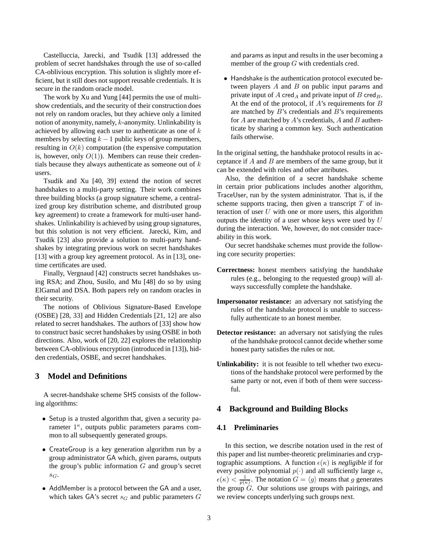Castelluccia, Jarecki, and Tsudik [13] addressed the problem of secret handshakes through the use of so-called CA-oblivious encryption. This solution is slightly more efficient, but it still does not support reusable credentials. It is secure in the random oracle model.

The work by Xu and Yung [44] permits the use of multishow credentials, and the security of their construction does not rely on random oracles, but they achieve only a limited notion of anonymity, namely, k-anonymity. Unlinkability is achieved by allowing each user to authenticate as one of  $k$ members by selecting  $k - 1$  public keys of group members, resulting in  $O(k)$  computation (the expensive computation is, however, only  $O(1)$ ). Members can reuse their credentials because they always authenticate as someone out of  $k$ users.

Tsudik and Xu [40, 39] extend the notion of secret handshakes to a multi-party setting. Their work combines three building blocks (a group signature scheme, a centralized group key distribution scheme, and distributed group key agreement) to create a framework for multi-user handshakes. Unlinkability is achieved by using group signatures, but this solution is not very efficient. Jarecki, Kim, and Tsudik [23] also provide a solution to multi-party handshakes by integrating previous work on secret handshakes [13] with a group key agreement protocol. As in [13], onetime certificates are used.

Finally, Vergnaud [42] constructs secret handshakes using RSA; and Zhou, Susilo, and Mu [48] do so by using ElGamal and DSA. Both papers rely on random oracles in their security.

The notions of Oblivious Signature-Based Envelope (OSBE) [28, 33] and Hidden Credentials [21, 12] are also related to secret handshakes. The authors of [33] show how to construct basic secret handshakes by using OSBE in both directions. Also, work of [20, 22] explores the relationship between CA-oblivious encryption (introduced in [13]), hidden credentials, OSBE, and secret handshakes.

# **3 Model and Definitions**

A secret-handshake scheme SHS consists of the following algorithms:

- Setup is a trusted algorithm that, given a security parameter  $1^{\kappa}$ , outputs public parameters params common to all subsequently generated groups.
- CreateGroup is a key generation algorithm run by a group administrator GA which, given params, outputs the group's public information  $G$  and group's secret  $S_G$ .
- AddMember is a protocol between the GA and a user, which takes GA's secret  $s_G$  and public parameters  $G$

and params as input and results in the user becoming a member of the group G with credentials cred.

• Handshake is the authentication protocol executed between players  $A$  and  $B$  on public input params and private input of A cred<sub>A</sub> and private input of B cred<sub>B</sub>. At the end of the protocol, if  $A$ 's requirements for  $B$ are matched by  $B$ 's credentials and  $B$ 's requirements for A are matched by A's credentials, A and B authenticate by sharing a common key. Such authentication fails otherwise.

In the original setting, the handshake protocol results in acceptance if  $A$  and  $B$  are members of the same group, but it can be extended with roles and other attributes.

Also, the definition of a secret handshake scheme in certain prior publications includes another algorithm, TraceUser, run by the system administrator. That is, if the scheme supports tracing, then given a transcript  $T$  of interaction of user  $U$  with one or more users, this algorithm outputs the identity of a user whose keys were used by  $U$ during the interaction. We, however, do not consider traceability in this work.

Our secret handshake schemes must provide the following core security properties:

- **Correctness:** honest members satisfying the handshake rules (e.g., belonging to the requested group) will always successfully complete the handshake.
- **Impersonator resistance:** an adversary not satisfying the rules of the handshake protocol is unable to successfully authenticate to an honest member.
- **Detector resistance:** an adversary not satisfying the rules of the handshake protocol cannot decide whether some honest party satisfies the rules or not.
- **Unlinkability:** it is not feasible to tell whether two executions of the handshake protocol were performed by the same party or not, even if both of them were successful.

## **4 Background and Building Blocks**

## **4.1 Preliminaries**

In this section, we describe notation used in the rest of this paper and list number-theoretic preliminaries and cryptographic assumptions. A function  $\epsilon(\kappa)$  is *negligible* if for every positive polynomial  $p(\cdot)$  and all sufficiently large  $\kappa$ ,  $\epsilon(\kappa) < \frac{1}{p(\kappa)}$ . The notation  $G = \langle g \rangle$  means that g generates the group  $\hat{G}$ . Our solutions use groups with pairings, and we review concepts underlying such groups next.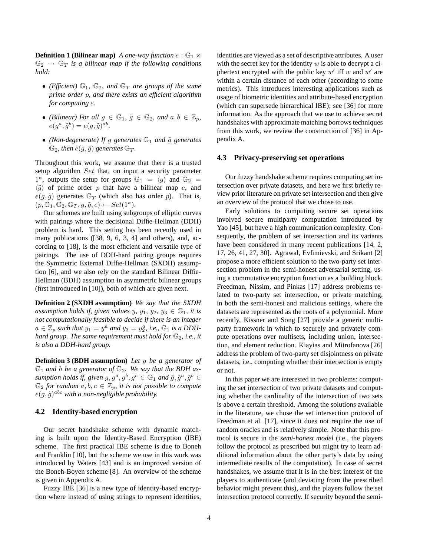**Definition 1 (Bilinear map)** *A one-way function*  $e : \mathbb{G}_1 \times$  $\mathbb{G}_2 \rightarrow \mathbb{G}_T$  *is a bilinear map if the following conditions hold:*

- (*Efficient*)  $\mathbb{G}_1$ ,  $\mathbb{G}_2$ , and  $\mathbb{G}_T$  are groups of the same *prime order* p*, and there exists an efficient algorithm for computing* e*.*
- *(Bilinear)* For all  $g \in \mathbb{G}_1$ ,  $\tilde{g} \in \mathbb{G}_2$ , and  $a, b \in \mathbb{Z}_p$ ,  $e(g^a, \tilde{g}^b) = e(g, \tilde{g})^{ab}.$
- *(Non-degenerate)* If g generates  $\mathbb{G}_1$  and  $\tilde{g}$  generates  $\mathbb{G}_2$ , then  $e(q, \tilde{q})$  generates  $\mathbb{G}_T$ .

Throughout this work, we assume that there is a trusted setup algorithm Set that, on input a security parameter 1<sup> $\kappa$ </sup>, outputs the setup for groups  $\mathbb{G}_1 = \langle g \rangle$  and  $\mathbb{G}_2 =$  $\langle \tilde{g} \rangle$  of prime order p that have a bilinear map e, and  $e(g, \tilde{g})$  generates  $\mathbb{G}_T$  (which also has order p). That is,  $(p, \mathbb{G}_1, \mathbb{G}_2, \mathbb{G}_T, g, \tilde{g}, e) \leftarrow Set(1^{\kappa}).$ 

Our schemes are built using subgroups of elliptic curves with pairings where the decisional Diffie-Hellman (DDH) problem is hard. This setting has been recently used in many publications ([38, 9, 6, 3, 4] and others), and, according to [18], is the most efficient and versatile type of pairings. The use of DDH-hard pairing groups requires the Symmetric External Diffie-Hellman (SXDH) assumption [6], and we also rely on the standard Bilinear Diffie-Hellman (BDH) assumption in asymmetric bilinear groups (first introduced in [10]), both of which are given next.

**Definition 2 (SXDH assumption)** *We say that the SXDH assumption holds if, given values* y,  $y_1$ ,  $y_2$ ,  $y_3 \in \mathbb{G}_1$ , *it is not computationally feasible to decide if there is an integer*  $a \in \mathbb{Z}_p$  such that  $y_1 = y^a$  and  $y_3 = y_2^a$ , *i.e.*,  $\mathbb{G}_1$  *is a DDHhard group. The same requirement must hold for*  $\mathbb{G}_2$ *, i.e., it is also a DDH-hard group.*

**Definition 3 (BDH assumption)** *Let* g *be a generator of*  $\mathbb{G}_1$  and h be a generator of  $\mathbb{G}_2$ . We say that the BDH assumption holds if, given  $g, g^a, g^b, g^c \in \mathbb{G}_1$  and  $\tilde{g}, \tilde{g}^a, \tilde{g}^b \in$  $\mathbb{G}_2$  *for random*  $a, b, c \in \mathbb{Z}_p$ *, it is not possible to compute*  $e(g,\tilde{g})^{abc}$  with a non-negligible probability.

### **4.2 Identity-based encryption**

Our secret handshake scheme with dynamic matching is built upon the Identity-Based Encryption (IBE) scheme. The first practical IBE scheme is due to Boneh and Franklin [10], but the scheme we use in this work was introduced by Waters [43] and is an improved version of the Boneh-Boyen scheme [8]. An overview of the scheme is given in Appendix A.

Fuzzy IBE [36] is a new type of identity-based encryption where instead of using strings to represent identities, identities are viewed as a set of descriptive attributes. A user with the secret key for the identity  $w$  is able to decrypt a ciphertext encrypted with the public key  $w'$  iff w and  $w'$  are within a certain distance of each other (according to some metrics). This introduces interesting applications such as usage of biometric identities and attribute-based encryption (which can supersede hierarchical IBE); see [36] for more information. As the approach that we use to achieve secret handshakes with approximate matching borrows techniques from this work, we review the construction of [36] in Appendix A.

### **4.3 Privacy-preserving set operations**

Our fuzzy handshake scheme requires computing set intersection over private datasets, and here we first briefly review prior literature on private set intersection and then give an overview of the protocol that we chose to use.

Early solutions to computing secure set operations involved secure multiparty computation introduced by Yao [45], but have a high communication complexity. Consequently, the problem of set intersection and its variants have been considered in many recent publications [14, 2, 17, 26, 41, 27, 30]. Agrawal, Evfimievski, and Srikant [2] propose a more efficient solution to the two-party set intersection problem in the semi-honest adversarial setting, using a commutative encryption function as a building block. Freedman, Nissim, and Pinkas [17] address problems related to two-party set intersection, or private matching, in both the semi-honest and malicious settings, where the datasets are represented as the roots of a polynomial. More recently, Kissner and Song [27] provide a generic multiparty framework in which to securely and privately compute operations over multisets, including union, intersection, and element reduction. Kiayias and Mitrofanova [26] address the problem of two-party set disjointness on private datasets, i.e., computing whether their intersection is empty or not.

In this paper we are interested in two problems: computing the set intersection of two private datasets and computing whether the cardinality of the intersection of two sets is above a certain threshold. Among the solutions available in the literature, we chose the set intersection protocol of Freedman et al. [17], since it does not require the use of random oracles and is relatively simple. Note that this protocol is secure in the *semi-honest model* (i.e., the players follow the protocol as prescribed but might try to learn additional information about the other party's data by using intermediate results of the computation). In case of secret handshakes, we assume that it is in the best interest of the players to authenticate (and deviating from the prescribed behavior might prevent this), and the players follow the set intersection protocol correctly. If security beyond the semi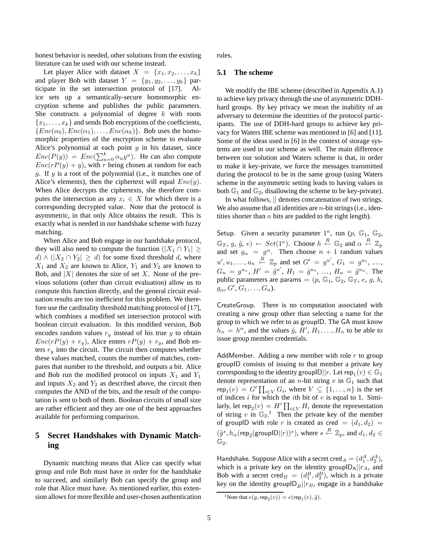honest behavior is needed, other solutions from the existing literature can be used with our scheme instead.

Let player Alice with dataset  $X = \{x_1, x_2, \ldots, x_k\}$ and player Bob with dataset  $Y = \{y_1, y_2, \ldots, y_k\}$  participate in the set intersection protocol of [17]. Alice sets up a semantically-secure homomorphic encryption scheme and publishes the public parameters. She constructs a polynomial of degree  $k$  with roots  ${x_1, \ldots, x_k}$  and sends Bob encryptions of the coefficients,  ${Enc(\alpha_0), Enc(\alpha_1), \ldots, Enc(\alpha_k)}$ . Bob uses the homomorphic properties of the encryption scheme to evaluate Alice's polynomial at each point  $y$  in his dataset, since  $Enc(P(y)) = Enc(\sum_{u=0}^{k} \alpha_u y^u)$ . He can also compute  $Enc(rP(y) + y)$ , with r being chosen at random for each y. If y is a root of the polynomial (i.e., it matches one of Alice's elements), then the ciphertext will equal  $Enc(y)$ . When Alice decrypts the ciphertexts, she therefore computes the intersection as any  $x_i \in X$  for which there is a corresponding decrypted value. Note that the protocol is asymmetric, in that only Alice obtains the result. This is exactly what is needed in our handshake scheme with fuzzy matching.

When Alice and Bob engage in our handshake protocol, they will also need to compute the function  $(|X_1 \cap Y_1| \geq$  $d) \wedge (|X_2 \cap Y_2| \geq d)$  for some fixed threshold d, where  $X_1$  and  $X_2$  are known to Alice,  $Y_1$  and  $Y_2$  are known to Bob, and  $|X|$  denotes the size of set X. None of the previous solutions (other than circuit evaluation) allow us to compute this function directly, and the general circuit evaluation results are too inefficient for this problem. We therefore use the cardinality threshold matching protocol of [17], which combines a modified set intersection protocol with boolean circuit evaluation. In this modified version, Bob encodes random values  $r_y$  instead of his true y to obtain  $Enc(rP(y) + r_y)$ , Alice enters  $rP(y) + r_y$ , and Bob enters  $r<sub>y</sub>$  into the circuit. The circuit then computes whether these values matched, counts the number of matches, compares that number to the threshold, and outputs a bit. Alice and Bob run the modified protocol on inputs  $X_1$  and  $Y_1$ and inputs  $X_2$  and  $Y_2$  as described above, the circuit then computes the AND of the bits, and the result of the computation is sent to both of them. Boolean circuits of small size are rather efficient and they are one of the best approaches available for performing comparison.

# **5 Secret Handshakes with Dynamic Matching**

Dynamic matching means that Alice can specify what group and role Bob must have in order for the handshake to succeed, and similarly Bob can specify the group and role that Alice must have. As mentioned earlier, this extension allows for more flexible and user-chosen authentication rules.

## **5.1 The scheme**

We modify the IBE scheme (described in Appendix A.1) to achieve key privacy through the use of asymmetric DDHhard groups. By key privacy we mean the inability of an adversary to determine the identities of the protocol participants. The use of DDH-hard groups to achieve key privacy for Waters IBE scheme was mentioned in [6] and [11]. Some of the ideas used in [6] in the context of storage systems are used in our scheme as well. The main difference between our solution and Waters scheme is that, in order to make it key-private, we force the messages transmitted during the protocol to be in the same group (using Waters scheme in the asymmetric setting leads to having values in both  $\mathbb{G}_1$  and  $\mathbb{G}_2$ , disallowing the scheme to be key-private).

In what follows, || denotes concatenation of two strings. We also assume that all identities are  $n$ -bit strings (i.e., identities shorter than  $n$  bits are padded to the right length).

Setup. Given a security parameter  $1^{\kappa}$ , run  $(p, \mathbb{G}_1, \mathbb{G}_2,$  $\mathbb{G}_T$ ,  $g$ ,  $\tilde{g}$ ,  $e$ )  $\leftarrow$  Set(1<sup> $\kappa$ </sup>). Choose  $h \stackrel{R}{\leftarrow} \mathbb{G}_2$  and  $\alpha \stackrel{R}{\leftarrow} \mathbb{Z}_p$ and set  $g_{\alpha} = g^{\alpha}$ . Then choose  $n + 1$  random values  $u', u_1, \ldots, u_n \stackrel{R}{\leftarrow} \mathbb{Z}_p$  and set  $G' = g^{u'}$ ,  $G_1 = g^{u_1}, \ldots$ ,  $G_n = g^{u_n}, H' = \tilde{g}^{u'}, H_1 = \tilde{g}^{u_1}, \ldots, H_n = \tilde{g}^{u_n}.$  The public parameters are params =  $(p, \mathbb{G}_1, \mathbb{G}_2, \mathbb{G}_T, e, g, h,$  $g_{\alpha}, G', G_1, \ldots, G_n$ ).

CreateGroup. There is no computation associated with creating a new group other than selecting a name for the group to which we refer to as groupID. The GA must know  $h_{\alpha} = h^{\alpha}$ , and the values  $\tilde{g}$ ,  $H'$ ,  $H_1, \ldots, H_n$  to be able to issue group member credentials.

AddMember. Adding a new member with role  $r$  to group groupID consists of issuing to that member a private key corresponding to the identity groupl $\mathsf{D} || r$ . Let rep $_1(v) \in \mathbb{G}_1$ denote representation of an *n*-bit string v in  $\mathbb{G}_1$  such that  $\mathsf{rep}_1(v) = G' \prod_{i \in V} G_i$ , where  $V \subseteq \{1, ..., n\}$  is the set of indices i for which the ith bit of  $v$  is equal to 1. Similarly, let rep<sub>2</sub> $(v) = H' \prod_{i \in V} H_i$  denote the representation of string v in  $\mathbb{G}_2$ <sup>1</sup>. Then the private key of the member of groupID with role r is created as cred =  $(d_1, d_2)$  =  $(\tilde{g}^s, h_\alpha(\mathsf{rep}_2(\mathsf{groupID}||r))^s)$ , where  $s \stackrel{R}{\leftarrow} \mathbb{Z}_p$ , and  $d_1, d_2 \in$  $\mathbb{G}_2$ .

Handshake. Suppose Alice with a secret cred  $A = (d_1^A, d_2^A)$ , which is a private key on the identity group $|D_A||r_A$ , and Bob with a secret cred  $B = (d_1^B, d_2^B)$ , which is a private key on the identity groupl $D_B||r_B$ , engage in a handshake

<sup>&</sup>lt;sup>1</sup>Note that  $e(g, \mathsf{rep}_2(v)) = e(\mathsf{rep}_1(v), \tilde{g})$ .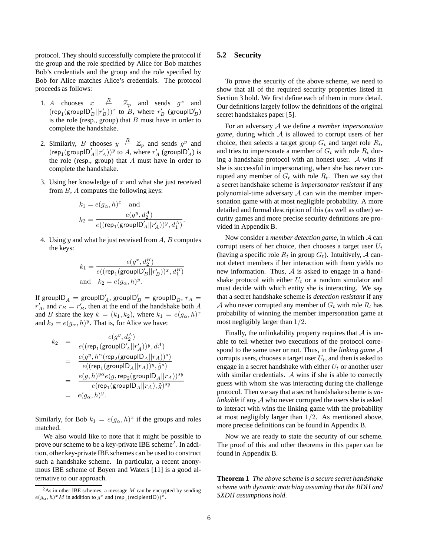protocol. They should successfully complete the protocol if the group and the role specified by Alice for Bob matches Bob's credentials and the group and the role specified by Bob for Alice matches Alice's credentials. The protocol proceeds as follows:

- 1. A chooses  $x \stackrel{R}{\leftarrow} \mathbb{Z}_p$  and sends  $g^x$  and  $(\text{rep}_1(\text{groupID}_B'||r_B'))^x$  to  $B$ , where  $r_B'$  (groupl $D'_B$ ) is the role (resp., group) that  $B$  must have in order to complete the handshake.
- 2. Similarly, B chooses  $y \stackrel{R}{\leftarrow} \mathbb{Z}_p$  and sends  $g^y$  and  $(\text{rep}_1(\text{group} \mathsf{ID}_A'| | r_A'))^y$  to A, where  $r_A'$  (groupl $\mathsf{D}_A'$ ) is the role (resp., group) that  $A$  must have in order to complete the handshake.
- 3. Using her knowledge of  $x$  and what she just received from B, A computes the following keys:

$$
\begin{aligned} k_1 &= e(g_\alpha, h)^x \quad \text{and} \\ k_2 &= \frac{e(g^y, d_2^A)}{e((\mathsf{rep}_1(\mathsf{groupID}_A'||r_A'))^y, d_1^A)} . \end{aligned}
$$

4. Using  $y$  and what he just received from  $A$ ,  $B$  computes the keys:

$$
k_1 = \frac{e(g^x, d_2^B)}{e((\text{rep}_1(\text{groupID}_B'||r_B'))^x, d_1^B)}
$$
  
and 
$$
k_2 = e(g_\alpha, h)^y.
$$

If groupl $\mathsf{D}_A^{\prime}=\mathsf{groupID}_A^{\prime},$  groupl $\mathsf{D}_B^{\prime}=\mathsf{groupID}_B,$   $r_A=\emptyset$  $r'_A$ , and  $r_B = r'_B$ , then at the end of the handshake both A and B share the key  $k = (k_1, k_2)$ , where  $k_1 = e(g_\alpha, h)^x$ and  $k_2 = e(g_\alpha, h)^y$ . That is, for Alice we have:

$$
k_2 = \frac{e(g^y, d_2^A)}{e((\text{rep}_1(\text{groupID}'_A || r'_A))^y, d_1^A)}
$$
  
\n
$$
= \frac{e(g^y, h^\alpha(\text{rep}_2(\text{groupID}_A || r_A))^s)}{e((\text{rep}_1(\text{groupID}_A || r_A))^y, \tilde{g}^s)}
$$
  
\n
$$
= \frac{e(g, h)^{y\alpha}e(g, \text{rep}_2(\text{groupID}_A || r_A))^{sy}}{e(\text{rep}_1(\text{groupID}_A || r_A), \tilde{g})^{sy}}
$$
  
\n
$$
= e(g_\alpha, h)^y.
$$

Similarly, for Bob  $k_1 = e(g_\alpha, h)^x$  if the groups and roles matched.

We also would like to note that it might be possible to prove our scheme to be a key-private IBE scheme<sup>2</sup>. In addition, other key-private IBE schemes can be used to construct such a handshake scheme. In particular, a recent anonymous IBE scheme of Boyen and Waters [11] is a good alternative to our approach.

### **5.2 Security**

To prove the security of the above scheme, we need to show that all of the required security properties listed in Section 3 hold. We first define each of them in more detail. Our definitions largely follow the definitions of the original secret handshakes paper [5].

For an adversary A we define a *member impersonation game*, during which A is allowed to corrupt users of her choice, then selects a target group  $G_t$  and target role  $R_t$ , and tries to impersonate a member of  $G_t$  with role  $R_t$  during a handshake protocol with an honest user. A wins if she is successful in impersonating, when she has never corrupted any member of  $G_t$  with role  $R_t$ . Then we say that a secret handshake scheme is *impersonator resistant* if any polynomial-time adversary  $A$  can win the member impersonation game with at most negligible probability. A more detailed and formal description of this (as well as other) security games and more precise security definitions are provided in Appendix B.

Now consider a *member detection game*, in which A can corrupt users of her choice, then chooses a target user  $U_t$ (having a specific role  $R_t$  in group  $G_t$ ). Intuitively, A cannot detect members if her interaction with them yields no new information. Thus,  $\mathcal A$  is asked to engage in a handshake protocol with either  $U_t$  or a random simulator and must decide with which entity she is interacting. We say that a secret handshake scheme is *detection resistant* if any A who never corrupted any member of  $G_t$  with role  $R_t$  has probability of winning the member impersonation game at most negligibly larger than 1/2.

Finally, the unlinkability property requires that  $A$  is unable to tell whether two executions of the protocol correspond to the same user or not. Thus, in the *linking game* A corrupts users, chooses a target user  $U_t$ , and then is asked to engage in a secret handshake with either  $U_t$  or another user with similar credentials. A wins if she is able to correctly guess with whom she was interacting during the challenge protocol. Then we say that a secret handshake scheme is *unlinkable* if any A who never corrupted the users she is asked to interact with wins the linking game with the probability at most negligibly larger than  $1/2$ . As mentioned above, more precise definitions can be found in Appendix B.

Now we are ready to state the security of our scheme. The proof of this and other theorems in this paper can be found in Appendix B.

**Theorem 1** *The above scheme is a secure secret handshake scheme with dynamic matching assuming that the BDH and SXDH assumptions hold.*

<sup>&</sup>lt;sup>2</sup>As in other IBE schemes, a message  $M$  can be encrypted by sending  $e(g_{\alpha}, h)^{x}M$  in addition to  $g^{x}$  and  $(\text{rep}_1(\text{recipientID}))^{x}$ .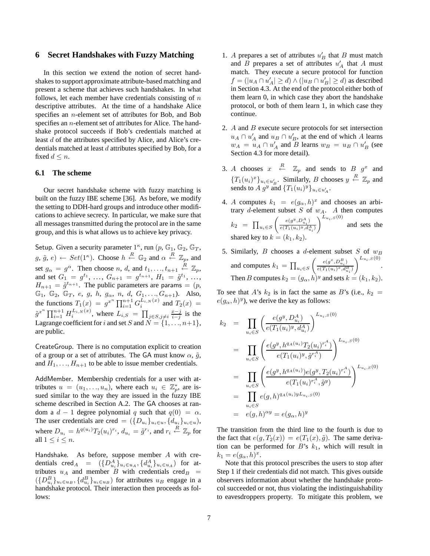## **6 Secret Handshakes with Fuzzy Matching**

In this section we extend the notion of secret handshakes to support approximate attribute-based matching and present a scheme that achieves such handshakes. In what follows, let each member have credentials consisting of  $n$ descriptive attributes. At the time of a handshake Alice specifies an n-element set of attributes for Bob, and Bob specifies an n-element set of attributes for Alice. The handshake protocol succeeds if Bob's credentials matched at least d of the attributes specified by Alice, and Alice's credentials matched at least  $d$  attributes specified by Bob, for a fixed  $d \leq n$ .

### **6.1 The scheme**

Our secret handshake scheme with fuzzy matching is built on the fuzzy IBE scheme [36]. As before, we modify the setting to DDH-hard groups and introduce other modifications to achieve secrecy. In particular, we make sure that all messages transmitted during the protocol are in the same group, and this is what allows us to achieve key privacy.

Setup. Given a security parameter  $1^{\kappa}$ , run  $(p, \mathbb{G}_1, \mathbb{G}_2, \mathbb{G}_T)$ ,  $g, \tilde{g}, e$  +  $Set(1^{\kappa})$ . Choose  $h \stackrel{R}{\leftarrow} \mathbb{G}_2$  and  $\alpha \stackrel{R}{\leftarrow} \mathbb{Z}_p$ , and set  $g_{\alpha} = g^{\alpha}$ . Then choose n, d, and  $t_1, \ldots, t_{n+1} \stackrel{R}{\leftarrow} \mathbb{Z}_p$ , and set  $G_1 = g^{t_1}, \ldots, G_{n+1} = g^{t_{n+1}}, H_1 = \tilde{g}^{t_1}, \ldots,$  $H_{n+1} = \tilde{g}^{t_{n+1}}$ . The public parameters are params =  $(p,$  $\mathbb{G}_1$ ,  $\mathbb{G}_2$ ,  $\mathbb{G}_T$ , e, g, h,  $g_{\alpha}$ , n, d,  $G_1, ..., G_{n+1}$ ). Also, the functions  $T_1(x) = g^{x^n} \prod_{i=1}^{n+1} G_i^{L_{i,N}(x)}$  and  $T_2(x) =$  $\tilde{g}^{x^n} \prod_{i=1}^{n+1} H_i^{L_{i,N}(x)}$ , where  $L_{i,S} = \prod_{j \in S, j \neq i} \frac{x-j}{i-j}$  is the Lagrange coefficient for i and set S and  $N = \{1, \ldots, n+1\},\$ are public.

CreateGroup. There is no computation explicit to creation of a group or a set of attributes. The GA must know  $\alpha$ ,  $\tilde{g}$ , and  $H_1, \ldots, H_{n+1}$  to be able to issue member credentials.

AddMember. Membership credentials for a user with attributes  $u = (u_1, \ldots, u_n)$ , where each  $u_i \in \mathbb{Z}_p^*$ , are issued similar to the way they are issued in the fuzzy IBE scheme described in Section A.2. The GA chooses at random a  $d - 1$  degree polynomial q such that  $q(0) = \alpha$ . The user credentials are cred =  $({D_{u_i}}_{u_i \in u}, {d_{u_i}}_{u_i \in u})$ , where  $D_{u_i} = h^{q(u_i)} T_2(u_i)^{r_i}$ ,  $d_{u_i} = \tilde{g}^{r_i}$ , and  $r_i \stackrel{R}{\leftarrow} \mathbb{Z}_p$  for all  $1 \leq i \leq n$ .

Handshake. As before, suppose member A with credentials  $\text{cred}_A = (\{D_{u_i}^A\}_{u_i \in u_A}, \{d_{u_i}^A\}_{u_i \in u_A})$  for attributes  $u_A$  and member B with credentials cred $_B$  =  $({D_{u_i}^B}_{u_i \in u_B}, {d_{u_i}^B}_{u_i \in u_B})$  for attributes  $u_B$  engage in a handshake protocol. Their interaction then proceeds as follows:

- 1. A prepares a set of attributes  $u'_B$  that B must match and B prepares a set of attributes  $u'_A$  that A must match. They execute a secure protocol for function  $f = (|u_A \cap u'_A| \ge d) \wedge (|u_B \cap u'_B| \ge d)$  as described in Section 4.3. At the end of the protocol either both of them learn 0, in which case they abort the handshake protocol, or both of them learn 1, in which case they continue.
- 2.  $A$  and  $B$  execute secure protocols for set intersection  $u_A \cap u'_A$  and  $u_B \cap u'_B$ , at the end of which A learns  $w_A = u_A \cap u'_A$  and B learns  $w_B = u_B \cap u'_B$  (see Section 4.3 for more detail).
- 3. A chooses  $x \stackrel{R}{\leftarrow} \mathbb{Z}_p$  and sends to  $B$   $g^x$  and  ${T_1(u_i)^x}_{u_i \in u'_B}$ . Similarly, *B* chooses  $y \stackrel{R}{\leftarrow} \mathbb{Z}_p$  and sends to A  $g^y$  and  $\{T_1(u_i)^y\}_{u_i \in u'_A}$ .
- 4. A computes  $k_1 = e(g_\alpha, h)^x$  and chooses an arbitrary d-element subset  $S$  of  $w_A$ . A then computes  $k_2$  =  $\prod_{u_i \in S}$  $\left( \begin{array}{c} e(g^y, D_{u_i}^A) \end{array} \right)$  $e(T_1(u_i)^y, d_{u_i}^A)$  $\bigwedge^{L_{u_i,S}(0)}$ and sets the shared key to  $k = (k_1, k_2)$ .
- 5. Similarly,  $B$  chooses a d-element subset  $S$  of  $w_B$ and computes  $k_1 = \prod_{u_i \in S}$  $\left( \begin{array}{c} e(g^x, D_{u_i}^B) \end{array} \right)$  $e(T_1(u_i)^x, d_{u_i}^B)$  $\bigwedge^{L_{u_i,S}(0)}$ . Then B computes  $k_2 = (g_\alpha, h)^y$  and sets  $k = (k_1, k_2)$ .

To see that A's  $k_2$  is in fact the same as B's (i.e.,  $k_2 =$  $e(g_{\alpha}, h)^y$ , we derive the key as follows:

$$
k_2 = \prod_{u_i \in S} \left( \frac{e(g^y, D_{u_i}^A)}{e(T_1(u_i)^y, d_{u_i}^A)} \right)^{L_{u_i, S}(0)}
$$
  
\n
$$
= \prod_{u_i \in S} \left( \frac{e(g^y, h^{q_A(u_i)} T_2(u_i)^{r_i^A})}{e(T_1(u_i)^y, \tilde{g}^{r_i^A})} \right)^{L_{u_i, S}(0)}
$$
  
\n
$$
= \prod_{u_i \in S} \left( \frac{e(g^y, h^{q_A(u_i)}) e(g^y, T_2(u_i)^{r_i^A})}{e(T_1(u_i)^{r_i^A}, \tilde{g}^y)} \right)^{L_{u_i, S}(0)}
$$
  
\n
$$
= \prod_{u_i \in S} e(g, h)^{q_A(u_i)} y^{L_{u_i, S}(0)}
$$
  
\n
$$
= e(g, h)^{\alpha y} = e(g_{\alpha}, h)^y
$$

The transition from the third line to the fourth is due to the fact that  $e(g, T_2(x)) = e(T_1(x), \tilde{g})$ . The same derivation can be performed for  $B$ 's  $k_1$ , which will result in  $k_1 = e(g_\alpha, h)^x$ .

Note that this protocol prescribes the users to stop after Step 1 if their credentials did not match. This gives outside observers information about whether the handshake protocol succeeded or not, thus violating the indistinguishability to eavesdroppers property. To mitigate this problem, we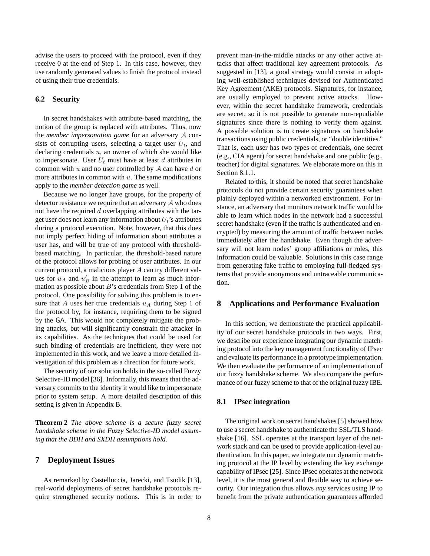advise the users to proceed with the protocol, even if they receive 0 at the end of Step 1. In this case, however, they use randomly generated values to finish the protocol instead of using their true credentials.

## **6.2 Security**

In secret handshakes with attribute-based matching, the notion of the group is replaced with attributes. Thus, now the *member impersonation game* for an adversary A consists of corrupting users, selecting a target user  $U_t$ , and declaring credentials  $u$ , an owner of which she would like to impersonate. User  $U_t$  must have at least d attributes in common with  $u$  and no user controlled by  $A$  can have  $d$  or more attributes in common with  $u$ . The same modifications apply to the *member detection game* as well.

Because we no longer have groups, for the property of detector resistance we require that an adversary  $A$  who does not have the required  $d$  overlapping attributes with the target user does not learn any information about  $U_t$ 's attributes during a protocol execution. Note, however, that this does not imply perfect hiding of information about attributes a user has, and will be true of any protocol with thresholdbased matching. In particular, the threshold-based nature of the protocol allows for probing of user attributes. In our current protocol, a malicious player A can try different values for  $u_A$  and  $u'_B$  in the attempt to learn as much information as possible about  $B$ 's credentials from Step 1 of the protocol. One possibility for solving this problem is to ensure that A uses her true credentials  $u_A$  during Step 1 of the protocol by, for instance, requiring them to be signed by the GA. This would not completely mitigate the probing attacks, but will significantly constrain the attacker in its capabilities. As the techniques that could be used for such binding of credentials are inefficient, they were not implemented in this work, and we leave a more detailed investigation of this problem as a direction for future work.

The security of our solution holds in the so-called Fuzzy Selective-ID model [36]. Informally, this means that the adversary commits to the identity it would like to impersonate prior to system setup. A more detailed description of this setting is given in Appendix B.

**Theorem 2** *The above scheme is a secure fuzzy secret handshake scheme in the Fuzzy Selective-ID model assuming that the BDH and SXDH assumptions hold.*

# **7 Deployment Issues**

As remarked by Castelluccia, Jarecki, and Tsudik [13], real-world deployments of secret handshake protocols require strengthened security notions. This is in order to prevent man-in-the-middle attacks or any other active attacks that affect traditional key agreement protocols. As suggested in [13], a good strategy would consist in adopting well-established techniques devised for Authenticated Key Agreement (AKE) protocols. Signatures, for instance, are usually employed to prevent active attacks. However, within the secret handshake framework, credentials are secret, so it is not possible to generate non-repudiable signatures since there is nothing to verify them against. A possible solution is to create signatures on handshake transactions using public credentials, or "double identities." That is, each user has two types of credentials, one secret (e.g., CIA agent) for secret handshake and one public (e.g., teacher) for digital signatures. We elaborate more on this in Section 8.1.1.

Related to this, it should be noted that secret handshake protocols do not provide certain security guarantees when plainly deployed within a networked environment. For instance, an adversary that monitors network traffic would be able to learn which nodes in the network had a successful secret handshake (even if the traffic is authenticated and encrypted) by measuring the amount of traffic between nodes immediately after the handshake. Even though the adversary will not learn nodes' group affiliations or roles, this information could be valuable. Solutions in this case range from generating fake traffic to employing full-fledged systems that provide anonymous and untraceable communication.

## **8 Applications and Performance Evaluation**

In this section, we demonstrate the practical applicability of our secret handshake protocols in two ways. First, we describe our experience integrating our dynamic matching protocol into the key management functionality of IPsec and evaluate its performance in a prototype implementation. We then evaluate the performance of an implementation of our fuzzy handshake scheme. We also compare the performance of our fuzzy scheme to that of the original fuzzy IBE.

### **8.1 IPsec integration**

The original work on secret handshakes [5] showed how to use a secret handshake to authenticate the SSL/TLS handshake [16]. SSL operates at the transport layer of the network stack and can be used to provide application-level authentication. In this paper, we integrate our dynamic matching protocol at the IP level by extending the key exchange capability of IPsec [25]. Since IPsec operates at the network level, it is the most general and flexible way to achieve security. Our integration thus allows *any* services using IP to benefit from the private authentication guarantees afforded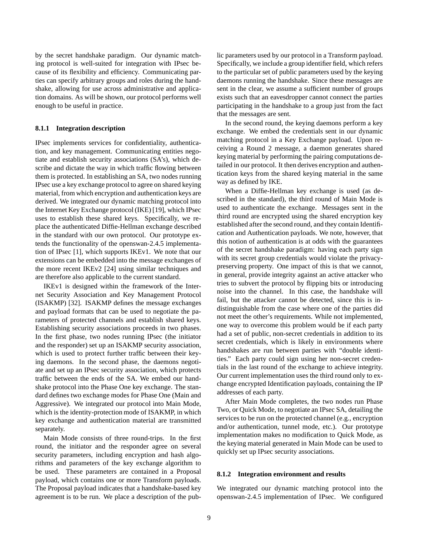by the secret handshake paradigm. Our dynamic matching protocol is well-suited for integration with IPsec because of its flexibility and efficiency. Communicating parties can specify arbitrary groups and roles during the handshake, allowing for use across administrative and application domains. As will be shown, our protocol performs well enough to be useful in practice.

### **8.1.1 Integration description**

IPsec implements services for confidentiality, authentication, and key management. Communicating entities negotiate and establish security associations (SA's), which describe and dictate the way in which traffic flowing between them is protected. In establishing an SA, two nodes running IPsec use a key exchange protocol to agree on shared keying material, from which encryption and authentication keys are derived. We integrated our dynamic matching protocol into the Internet Key Exchange protocol (IKE) [19], which IPsec uses to establish these shared keys. Specifically, we replace the authenticated Diffie-Hellman exchange described in the standard with our own protocol. Our prototype extends the functionality of the openswan-2.4.5 implementation of IPsec [1], which supports IKEv1. We note that our extensions can be embedded into the message exchanges of the more recent IKEv2 [24] using similar techniques and are therefore also applicable to the current standard.

IKEv1 is designed within the framework of the Internet Security Association and Key Management Protocol (ISAKMP) [32]. ISAKMP defines the message exchanges and payload formats that can be used to negotiate the parameters of protected channels and establish shared keys. Establishing security associations proceeds in two phases. In the first phase, two nodes running IPsec (the initiator and the responder) set up an ISAKMP security association, which is used to protect further traffic between their keying daemons. In the second phase, the daemons negotiate and set up an IPsec security association, which protects traffic between the ends of the SA. We embed our handshake protocol into the Phase One key exchange. The standard defines two exchange modes for Phase One (Main and Aggressive). We integrated our protocol into Main Mode, which is the identity-protection mode of ISAKMP, in which key exchange and authentication material are transmitted separately.

Main Mode consists of three round-trips. In the first round, the initiator and the responder agree on several security parameters, including encryption and hash algorithms and parameters of the key exchange algorithm to be used. These parameters are contained in a Proposal payload, which contains one or more Transform payloads. The Proposal payload indicates that a handshake-based key agreement is to be run. We place a description of the public parameters used by our protocol in a Transform payload. Specifically, we include a group identifier field, which refers to the particular set of public parameters used by the keying daemons running the handshake. Since these messages are sent in the clear, we assume a sufficient number of groups exists such that an eavesdropper cannot connect the parties participating in the handshake to a group just from the fact that the messages are sent.

In the second round, the keying daemons perform a key exchange. We embed the credentials sent in our dynamic matching protocol in a Key Exchange payload. Upon receiving a Round 2 message, a daemon generates shared keying material by performing the pairing computations detailed in our protocol. It then derives encryption and authentication keys from the shared keying material in the same way as defined by IKE.

When a Diffie-Hellman key exchange is used (as described in the standard), the third round of Main Mode is used to authenticate the exchange. Messages sent in the third round are encrypted using the shared encryption key established after the second round, and they contain Identification and Authentication payloads. We note, however, that this notion of authentication is at odds with the guarantees of the secret handshake paradigm: having each party sign with its secret group credentials would violate the privacypreserving property. One impact of this is that we cannot, in general, provide integrity against an active attacker who tries to subvert the protocol by flipping bits or introducing noise into the channel. In this case, the handshake will fail, but the attacker cannot be detected, since this is indistinguishable from the case where one of the parties did not meet the other's requirements. While not implemented, one way to overcome this problem would be if each party had a set of public, non-secret credentials in addition to its secret credentials, which is likely in environments where handshakes are run between parties with "double identities." Each party could sign using her non-secret credentials in the last round of the exchange to achieve integrity. Our current implementation uses the third round only to exchange encrypted Identification payloads, containing the IP addresses of each party.

After Main Mode completes, the two nodes run Phase Two, or Quick Mode, to negotiate an IPsec SA, detailing the services to be run on the protected channel (e.g., encryption and/or authentication, tunnel mode, etc.). Our prototype implementation makes no modification to Quick Mode, as the keying material generated in Main Mode can be used to quickly set up IPsec security associations.

#### **8.1.2 Integration environment and results**

We integrated our dynamic matching protocol into the openswan-2.4.5 implementation of IPsec. We configured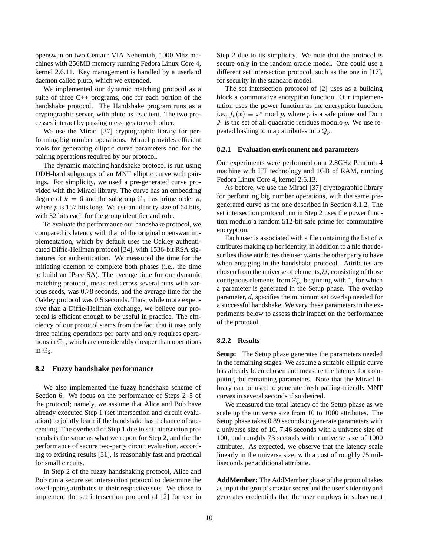openswan on two Centaur VIA Nehemiah, 1000 Mhz machines with 256MB memory running Fedora Linux Core 4, kernel 2.6.11. Key management is handled by a userland daemon called pluto, which we extended.

We implemented our dynamic matching protocol as a suite of three C++ programs, one for each portion of the handshake protocol. The Handshake program runs as a cryptographic server, with pluto as its client. The two processes interact by passing messages to each other.

We use the Miracl [37] cryptographic library for performing big number operations. Miracl provides efficient tools for generating elliptic curve parameters and for the pairing operations required by our protocol.

The dynamic matching handshake protocol is run using DDH-hard subgroups of an MNT elliptic curve with pairings. For simplicity, we used a pre-generated curve provided with the Miracl library. The curve has an embedding degree of  $k = 6$  and the subgroup  $\mathbb{G}_1$  has prime order p, where  $p$  is 157 bits long. We use an identity size of 64 bits, with 32 bits each for the group identifier and role.

To evaluate the performance our handshake protocol, we compared its latency with that of the original openswan implementation, which by default uses the Oakley authenticated Diffie-Hellman protocol [34], with 1536-bit RSA signatures for authentication. We measured the time for the initiating daemon to complete both phases (i.e., the time to build an IPsec SA). The average time for our dynamic matching protocol, measured across several runs with various seeds, was 0.78 seconds, and the average time for the Oakley protocol was 0.5 seconds. Thus, while more expensive than a Diffie-Hellman exchange, we believe our protocol is efficient enough to be useful in practice. The efficiency of our protocol stems from the fact that it uses only three pairing operations per party and only requires operations in  $\mathbb{G}_1$ , which are considerably cheaper than operations in  $\mathbb{G}_2$ .

### **8.2 Fuzzy handshake performance**

We also implemented the fuzzy handshake scheme of Section 6. We focus on the performance of Steps 2–5 of the protocol; namely, we assume that Alice and Bob have already executed Step 1 (set intersection and circuit evaluation) to jointly learn if the handshake has a chance of succeeding. The overhead of Step 1 due to set intersection protocols is the same as what we report for Step 2, and the the performance of secure two-party circuit evaluation, according to existing results [31], is reasonably fast and practical for small circuits.

In Step 2 of the fuzzy handshaking protocol, Alice and Bob run a secure set intersection protocol to determine the overlapping attributes in their respective sets. We chose to implement the set intersection protocol of [2] for use in Step 2 due to its simplicity. We note that the protocol is secure only in the random oracle model. One could use a different set intersection protocol, such as the one in [17], for security in the standard model.

The set intersection protocol of [2] uses as a building block a commutative encryption function. Our implementation uses the power function as the encryption function, i.e.,  $f_e(x) \equiv x^e \mod p$ , where p is a safe prime and Dom  $F$  is the set of all quadratic residues modulo  $p$ . We use repeated hashing to map attributes into  $Q_p$ .

#### **8.2.1 Evaluation environment and parameters**

Our experiments were performed on a 2.8GHz Pentium 4 machine with HT technology and 1GB of RAM, running Fedora Linux Core 4, kernel 2.6.13.

As before, we use the Miracl [37] cryptographic library for performing big number operations, with the same pregenerated curve as the one described in Section 8.1.2. The set intersection protocol run in Step 2 uses the power function modulo a random 512-bit safe prime for commutative encryption.

Each user is associated with a file containing the list of  $n$ attributes making up her identity, in addition to a file that describes those attributes the user wants the other party to have when engaging in the handshake protocol. Attributes are chosen from the universe of elements,  $U$ , consisting of those contiguous elements from  $\mathbb{Z}_p^*$ , beginning with 1, for which a parameter is generated in the Setup phase. The overlap parameter, d, specifies the minimum set overlap needed for a successful handshake. We vary these parameters in the experiments below to assess their impact on the performance of the protocol.

#### **8.2.2 Results**

**Setup:** The Setup phase generates the parameters needed in the remaining stages. We assume a suitable elliptic curve has already been chosen and measure the latency for computing the remaining parameters. Note that the Miracl library can be used to generate fresh pairing-friendly MNT curves in several seconds if so desired.

We measured the total latency of the Setup phase as we scale up the universe size from 10 to 1000 attributes. The Setup phase takes 0.89 seconds to generate parameters with a universe size of 10, 7.46 seconds with a universe size of 100, and roughly 73 seconds with a universe size of 1000 attributes. As expected, we observe that the latency scale linearly in the universe size, with a cost of roughly 75 milliseconds per additional attribute.

**AddMember:** The AddMember phase of the protocol takes as input the group's master secret and the user's identity and generates credentials that the user employs in subsequent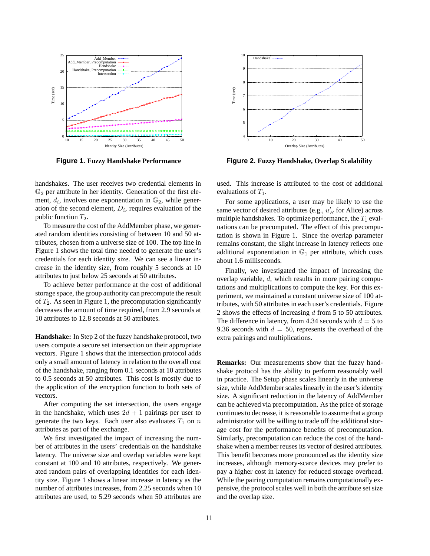

**Figure 1. Fuzzy Handshake Performance**

handshakes. The user receives two credential elements in  $\mathbb{G}_2$  per attribute in her identity. Generation of the first element,  $d_i$ , involves one exponentiation in  $\mathbb{G}_2$ , while generation of the second element,  $D_i$ , requires evaluation of the public function  $T_2$ .

To measure the cost of the AddMember phase, we generated random identities consisting of between 10 and 50 attributes, chosen from a universe size of 100. The top line in Figure 1 shows the total time needed to generate the user's credentials for each identity size. We can see a linear increase in the identity size, from roughly 5 seconds at 10 attributes to just below 25 seconds at 50 attributes.

To achieve better performance at the cost of additional storage space, the group authority can precompute the result of  $T_2$ . As seen in Figure 1, the precomputation significantly decreases the amount of time required, from 2.9 seconds at 10 attributes to 12.8 seconds at 50 attributes.

**Handshake:** In Step 2 of the fuzzy handshake protocol, two users compute a secure set intersection on their appropriate vectors. Figure 1 shows that the intersection protocol adds only a small amount of latency in relation to the overall cost of the handshake, ranging from 0.1 seconds at 10 attributes to 0.5 seconds at 50 attributes. This cost is mostly due to the application of the encryption function to both sets of vectors.

After computing the set intersection, the users engage in the handshake, which uses  $2d + 1$  pairings per user to generate the two keys. Each user also evaluates  $T_1$  on n attributes as part of the exchange.

We first investigated the impact of increasing the number of attributes in the users' credentials on the handshake latency. The universe size and overlap variables were kept constant at 100 and 10 attributes, respectively. We generated random pairs of overlapping identities for each identity size. Figure 1 shows a linear increase in latency as the number of attributes increases, from 2.25 seconds when 10 attributes are used, to 5.29 seconds when 50 attributes are



**Figure 2. Fuzzy Handshake, Overlap Scalability**

used. This increase is attributed to the cost of additional evaluations of  $T_1$ .

For some applications, a user may be likely to use the same vector of desired attributes (e.g.,  $u'_B$  for Alice) across multiple handshakes. To optimize performance, the  $T_1$  evaluations can be precomputed. The effect of this precomputation is shown in Figure 1. Since the overlap parameter remains constant, the slight increase in latency reflects one additional exponentiation in  $\mathbb{G}_1$  per attribute, which costs about 1.6 milliseconds.

Finally, we investigated the impact of increasing the overlap variable, d, which results in more pairing computations and multiplications to compute the key. For this experiment, we maintained a constant universe size of 100 attributes, with 50 attributes in each user's credentials. Figure 2 shows the effects of increasing d from 5 to 50 attributes. The difference in latency, from 4.34 seconds with  $d = 5$  to 9.36 seconds with  $d = 50$ , represents the overhead of the extra pairings and multiplications.

**Remarks:** Our measurements show that the fuzzy handshake protocol has the ability to perform reasonably well in practice. The Setup phase scales linearly in the universe size, while AddMember scales linearly in the user's identity size. A significant reduction in the latency of AddMember can be achieved via precomputation. As the price of storage continues to decrease, it is reasonable to assume that a group administrator will be willing to trade off the additional storage cost for the performance benefits of precomputation. Similarly, precomputation can reduce the cost of the handshake when a member reuses its vector of desired attributes. This benefit becomes more pronounced as the identity size increases, although memory-scarce devices may prefer to pay a higher cost in latency for reduced storage overhead. While the pairing computation remains computationally expensive, the protocol scales well in both the attribute set size and the overlap size.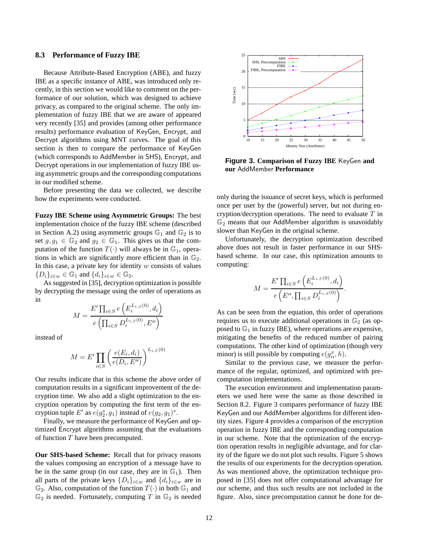#### **8.3 Performance of Fuzzy IBE**

Because Attribute-Based Encryption (ABE), and fuzzy IBE as a specific instance of ABE, was introduced only recently, in this section we would like to comment on the performance of our solution, which was designed to achieve privacy, as compared to the original scheme. The only implementation of fuzzy IBE that we are aware of appeared very recently [35] and provides (among other performance results) performance evaluation of KeyGen, Encrypt, and Decrypt algorithms using MNT curves. The goal of this section is then to compare the performance of KeyGen (which corresponds to AddMember in SHS), Encrypt, and Decrypt operations in our implementation of fuzzy IBE using asymmetric groups and the corresponding computations in our modified scheme.

Before presenting the data we collected, we describe how the experiments were conducted.

**Fuzzy IBE Scheme using Asymmetric Groups:** The best implementation choice of the fuzzy IBE scheme (described in Section A.2) using asymmetric groups  $\mathbb{G}_1$  and  $\mathbb{G}_2$  is to set  $g, g_1 \in \mathbb{G}_2$  and  $g_2 \in \mathbb{G}_1$ . This gives us that the computation of the function  $T(\cdot)$  will always be in  $\mathbb{G}_1$ , operations in which are significantly more efficient than in  $\mathbb{G}_2$ . In this case, a private key for identity  $w$  consists of values  ${D_i}_{i \in w} \in \mathbb{G}_1$  and  ${d_i}_{i \in w} \in \mathbb{G}_2$ .

As suggested in [35], decryption optimization is possible by decrypting the message using the order of operations as in

$$
M = \frac{E' \prod_{i \in S} e\left(E_i^{L_{i,S}(0)}, d_i\right)}{e\left(\prod_{i \in S} D_i^{L_{i,S}(0)}, E''\right)}
$$

instead of

$$
M = E' \prod_{i \in S} \left( \frac{e(E_i, d_i)}{e(D_i, E'')} \right)^{L_{i,S}(0)}
$$

Our results indicate that in this scheme the above order of computation results in a significant improvement of the decryption time. We also add a slight optimization to the encryption operation by computing the first term of the encryption tuple E' as  $e(g_2^s, g_1)$  instead of  $e(g_2, g_1)^s$ .

Finally, we measure the performance of KeyGen and optimized Encrypt algorithms assuming that the evaluations of function  $T$  have been precomputed.

**Our SHS-based Scheme:** Recall that for privacy reasons the values composing an encryption of a message have to be in the same group (in our case, they are in  $\mathbb{G}_1$ ). Then all parts of the private keys  $\{D_i\}_{i\in w}$  and  $\{d_i\}_{i\in w}$  are in  $\mathbb{G}_2$ . Also, computation of the function  $T(\cdot)$  in both  $\mathbb{G}_1$  and  $\mathbb{G}_2$  is needed. Fortunately, computing T in  $\mathbb{G}_2$  is needed



**Figure 3. Comparison of Fuzzy IBE** KeyGen **and our** AddMember **Performance**

only during the issuance of secret keys, which is performed once per user by the (powerful) server, but not during encryption/decryption operations. The need to evaluate  $T$  in  $\mathbb{G}_2$  means that our AddMember algorithm is unavoidably slower than KeyGen in the original scheme.

Unfortunately, the decryption optimization described above does not result in faster performance in our SHSbased scheme. In our case, this optimization amounts to computing:

$$
M = \frac{E' \prod_{i \in S} e\left(E_i^{L_{i,S}(0)}, d_i\right)}{e\left(E'', \prod_{i \in S} D_i^{L_{i,S}(0)}\right)}.
$$

As can be seen from the equation, this order of operations requires us to execute additional operations in  $\mathbb{G}_2$  (as opposed to  $\mathbb{G}_1$  in fuzzy IBE), where operations are expensive, mitigating the benefits of the reduced number of pairing computations. The other kind of optimization (though very minor) is still possible by computing  $e(g_{\alpha}^x, h)$ .

Similar to the previous case, we measure the performance of the regular, optimized, and optimized with precomputation implementations.

The execution environment and implementation parameters we used here were the same as those described in Section 8.2. Figure 3 compares performance of fuzzy IBE KeyGen and our AddMember algorithms for different identity sizes. Figure 4 provides a comparison of the encryption operation in fuzzy IBE and the corresponding computation in our scheme. Note that the optimization of the encryption operation results in negligible advantage, and for clarity of the figure we do not plot such results. Figure 5 shows the results of our experiments for the decryption operation. As was mentioned above, the optimization technique proposed in [35] does not offer computational advantage for our scheme, and thus such results are not included in the figure. Also, since precomputation cannot be done for de-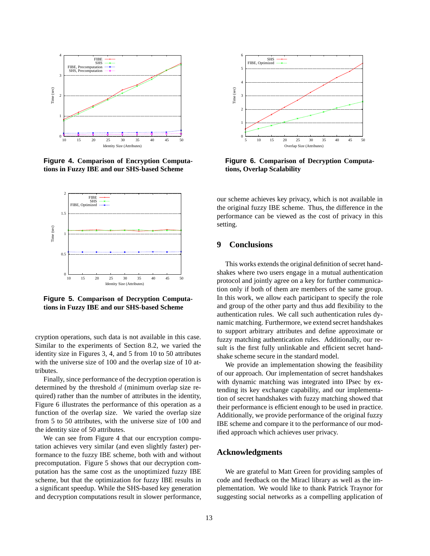

**Figure 4. Comparison of Encryption Computations in Fuzzy IBE and our SHS-based Scheme**



**Figure 5. Comparison of Decryption Computations in Fuzzy IBE and our SHS-based Scheme**

cryption operations, such data is not available in this case. Similar to the experiments of Section 8.2, we varied the identity size in Figures 3, 4, and 5 from 10 to 50 attributes with the universe size of 100 and the overlap size of 10 attributes.

Finally, since performance of the decryption operation is determined by the threshold  $d$  (minimum overlap size required) rather than the number of attributes in the identity, Figure 6 illustrates the performance of this operation as a function of the overlap size. We varied the overlap size from 5 to 50 attributes, with the universe size of 100 and the identity size of 50 attributes.

We can see from Figure 4 that our encryption computation achieves very similar (and even slightly faster) performance to the fuzzy IBE scheme, both with and without precomputation. Figure 5 shows that our decryption computation has the same cost as the unoptimized fuzzy IBE scheme, but that the optimization for fuzzy IBE results in a significant speedup. While the SHS-based key generation and decryption computations result in slower performance,



**Figure 6. Comparison of Decryption Computations, Overlap Scalability**

our scheme achieves key privacy, which is not available in the original fuzzy IBE scheme. Thus, the difference in the performance can be viewed as the cost of privacy in this setting.

# **9 Conclusions**

This works extends the original definition of secret handshakes where two users engage in a mutual authentication protocol and jointly agree on a key for further communication only if both of them are members of the same group. In this work, we allow each participant to specify the role and group of the other party and thus add flexibility to the authentication rules. We call such authentication rules dynamic matching. Furthermore, we extend secret handshakes to support arbitrary attributes and define approximate or fuzzy matching authentication rules. Additionally, our result is the first fully unlinkable and efficient secret handshake scheme secure in the standard model.

We provide an implementation showing the feasibility of our approach. Our implementation of secret handshakes with dynamic matching was integrated into IPsec by extending its key exchange capability, and our implementation of secret handshakes with fuzzy matching showed that their performance is efficient enough to be used in practice. Additionally, we provide performance of the original fuzzy IBE scheme and compare it to the performance of our modified approach which achieves user privacy.

## **Acknowledgments**

We are grateful to Matt Green for providing samples of code and feedback on the Miracl library as well as the implementation. We would like to thank Patrick Traynor for suggesting social networks as a compelling application of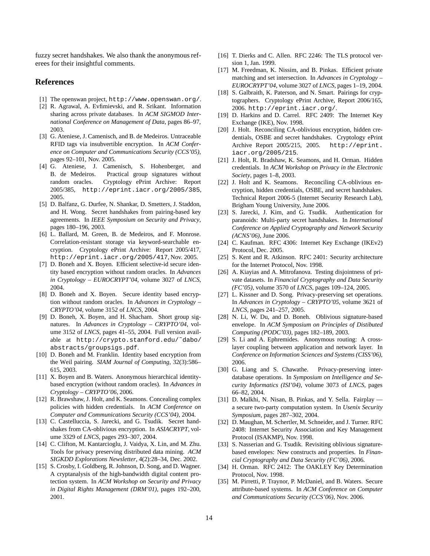fuzzy secret handshakes. We also thank the anonymous referees for their insightful comments.

# **References**

- [1] The openswan project, http://www.openswan.org/.
- [2] R. Agrawal, A. Evfimievski, and R. Srikant. Information sharing across private databases. In *ACM SIGMOD International Conference on Management of Data*, pages 86–97, 2003.
- [3] G. Ateniese, J. Camenisch, and B. de Medeiros. Untraceable RFID tags via insubvertible encryption. In *ACM Conference on Computer and Communications Security (CCS'05)*, pages 92–101, Nov. 2005.
- [4] G. Ateniese, J. Camenisch, S. Hohenberger, and B. de Medeiros. Practical group signatures without random oracles. Cryptology ePrint Archive: Report 2005/385, http://eprint.iacr.org/2005/385, 2005.
- [5] D. Balfanz, G. Durfee, N. Shankar, D. Smetters, J. Staddon, and H. Wong. Secret handshakes from pairing-based key agreements. In *IEEE Symposium on Security and Privacy*, pages 180–196, 2003.
- [6] L. Ballard, M. Green, B. de Medeiros, and F. Monrose. Correlation-resistant storage via keyword-searchable encryption. Cryptology ePrint Archive: Report 2005/417, http://eprint.iacr.org/2005/417, Nov. 2005.
- [7] D. Boneh and X. Boyen. Efficient selective-id secure identity based encryption without random oracles. In *Advances in Cryptology – EUROCRYPT'04*, volume 3027 of *LNCS*, 2004.
- [8] D. Boneh and X. Boyen. Secure identity based encryption without random oracles. In *Advances in Cryptology – CRYPTO'04*, volume 3152 of *LNCS*, 2004.
- [9] D. Boneh, X. Boyen, and H. Shacham. Short group signatures. In *Advances in Cryptology – CRYPTO'04*, volume 3152 of *LNCS*, pages 41–55, 2004. Full version available at http://crypto.stanford.edu/˜dabo/ abstracts/groupsigs.pdf.
- [10] D. Boneh and M. Franklin. Identity based encryption from the Weil pairing. *SIAM Journal of Computing*, 32(3):586– 615, 2003.
- [11] X. Boyen and B. Waters. Anonymous hierarchical identitybased encryption (without random oracles). In *Advances in Cryptology – CRYPTO'06*, 2006.
- [12] R. Brawshaw, J. Holt, and K. Seamons. Concealing complex policies with hidden credentials. In *ACM Conference on Computer and Communications Security (CCS'04)*, 2004.
- [13] C. Castelluccia, S. Jarecki, and G. Tsudik. Secret handshakes from CA-oblivious encryption. In *ASIACRYPT*, volume 3329 of *LNCS*, pages 293–307, 2004.
- [14] C. Clifton, M. Kantarcioglu, J. Vaidya, X. Lin, and M. Zhu. Tools for privacy preserving distributed data mining. *ACM SIGKDD Explorations Newsletter*, 4(2):28–34, Dec. 2002.
- [15] S. Crosby, I. Goldberg, R. Johnson, D. Song, and D. Wagner. A cryptanalysis of the high-bandwidth digital content protection system. In *ACM Workshop on Security and Privacy in Digital Rights Management (DRM'01)*, pages 192–200, 2001.
- [16] T. Dierks and C. Allen. RFC 2246: The TLS protocol version 1, Jan. 1999.
- [17] M. Freedman, K. Nissim, and B. Pinkas. Efficient private matching and set intersection. In *Advances in Cryptology – EUROCRYPT'04*, volume 3027 of *LNCS*, pages 1–19, 2004.
- [18] S. Galbraith, K. Paterson, and N. Smart. Pairings for cryptographers. Cryptology ePrint Archive, Report 2006/165, 2006. http://eprint.iacr.org/.
- [19] D. Harkins and D. Carrel. RFC 2409: The Internet Key Exchange (IKE), Nov. 1998.
- [20] J. Holt. Reconciling CA-oblivious encryption, hidden credentials, OSBE and secret handshakes. Cryptology ePrint Archive Report 2005/215, 2005. http://eprint. iacr.org/2005/215.
- [21] J. Holt, R. Bradshaw, K. Seamons, and H. Orman. Hidden credentials. In *ACM Workshop on Privacy in the Electronic Society*, pages 1–8, 2003.
- [22] J. Holt and K. Seamons. Reconciling CA-oblivious encryption, hidden credentials, OSBE, and secret handshakes. Technical Report 2006-5 (Internet Security Research Lab), Brigham Young University, June 2006.
- [23] S. Jarecki, J. Kim, and G. Tsudik. Authentication for paranoids: Multi-party secret handshakes. In *International Conference on Applied Cryptography and Network Security (ACNS'06)*, June 2006.
- [24] C. Kaufman. RFC 4306: Internet Key Exchange (IKEv2) Protocol, Dec. 2005.
- [25] S. Kent and R. Atkinson. RFC 2401: Security architecture for the Internet Protocol, Nov. 1998.
- [26] A. Kiayias and A. Mitrofanova. Testing disjointness of private datasets. In *Financial Cryptography and Data Security (FC'05)*, volume 3570 of *LNCS*, pages 109–124, 2005.
- [27] L. Kissner and D. Song. Privacy-preserving set operations. In *Advances in Cryptology – CRYPTO'05*, volume 3621 of *LNCS*, pages 241–257, 2005.
- [28] N. Li, W. Du, and D. Boneh. Oblivious signature-based envelope. In *ACM Symposium on Principles of Distibuted Computing (PODC'03)*, pages 182–189, 2003.
- [29] S. Li and A. Ephremides. Anonymous routing: A crosslayer coupling between application and network layer. In *Conference on Information Sciences and Systems (CISS'06)*, 2006.
- [30] G. Liang and S. Chawathe. Privacy-preserving interdatabase operations. In *Symposium on Intelligence and Security Informatics (ISI'04)*, volume 3073 of *LNCS*, pages 66–82, 2004.
- [31] D. Malkhi, N. Nisan, B. Pinkas, and Y. Sella. Fairplay a secure two-party computation system. In *Usenix Security Symposium*, pages 287–302, 2004.
- [32] D. Maughan, M. Schertler, M. Schneider, and J. Turner. RFC 2408: Internet Security Association and Key Management Protocol (ISAKMP), Nov. 1998.
- [33] S. Nasserian and G. Tsudik. Revisiting oblivious signaturebased envelopes: New constructs and properties. In *Financial Cryptography and Data Security (FC'06)*, 2006.
- [34] H. Orman. RFC 2412: The OAKLEY Key Determination Protocol, Nov. 1998.
- [35] M. Pirretti, P. Traynor, P. McDaniel, and B. Waters. Secure attribute-based systems. In *ACM Conference on Computer and Communications Security (CCS'06)*, Nov. 2006.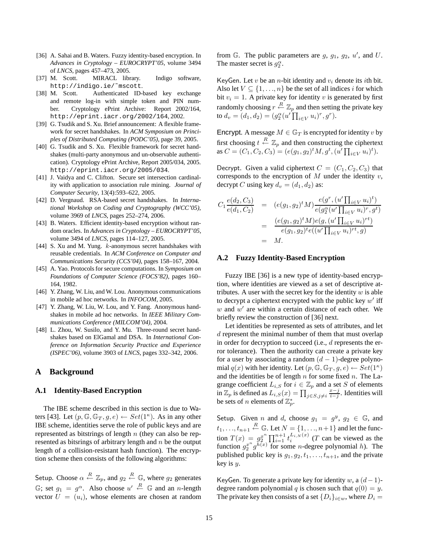- [36] A. Sahai and B. Waters. Fuzzy identity-based encryption. In *Advances in Cryptology – EUROCRYPT'05*, volume 3494 of *LNCS*, pages 457–473, 2005.
- [37] M. Scott. MIRACL library. Indigo software, http://indigo.ie/˜mscott.
- [38] M. Scott. Authenticated ID-based key exchange and remote log-in with simple token and PIN number. Cryptology ePrint Archive: Report 2002/164, http://eprint.iacr.org/2002/164, 2002.
- [39] G. Tsudik and S. Xu. Brief announcement: A flexible framework for secret handshakes. In *ACM Symposium on Principles of Distributed Computing (PODC'05)*, page 39, 2005.
- [40] G. Tsudik and S. Xu. Flexible framework for secret handshakes (multi-party anonymous and un-observable authentication). Cryptology ePrint Archive, Report 2005/034, 2005. http://eprint.iacr.org/2005/034.
- [41] J. Vaidya and C. Clifton. Secure set intersection cardinality with application to association rule mining. *Journal of Computer Security*, 13(4):593–622, 2005.
- [42] D. Vergnaud. RSA-based secret handshakes. In *International Workshop on Coding and Cryptography (WCC'05)*, volume 3969 of *LNCS*, pages 252–274, 2006.
- [43] B. Waters. Efficient identity-based encryption without random oracles. In *Advances in Cryptology – EUROCRYPT'05*, volume 3494 of *LNCS*, pages 114–127, 2005.
- [44] S. Xu and M. Yung. k-anonymous secret handshakes with reusable credentials. In *ACM Conference on Computer and Communications Security (CCS'04)*, pages 158–167, 2004.
- [45] A. Yao. Protocols for secure computations. In *Symposium on Foundations of Computer Science (FOCS'82)*, pages 160– 164, 1982.
- [46] Y. Zhang, W. Liu, and W. Lou. Anonymous communications in mobile ad hoc networks. In *INFOCOM*, 2005.
- [47] Y. Zhang, W. Liu, W. Lou, and Y. Fang. Anonymous handshakes in mobile ad hoc networks. In *IEEE Military Communications Conference (MILCOM'04)*, 2004.
- [48] L. Zhou, W. Susilo, and Y. Mu. Three-round secret handshakes based on ElGamal and DSA. In *International Conference on Information Security Practice and Experience (ISPEC'06)*, volume 3903 of *LNCS*, pages 332–342, 2006.

## **A Background**

### **A.1 Identity-Based Encryption**

The IBE scheme described in this section is due to Waters [43]. Let  $(p, \mathbb{G}, \mathbb{G}_T, g, e) \leftarrow Set(1^{\kappa})$ . As in any other IBE scheme, identities serve the role of public keys and are represented as bitstrings of length n (they can also be represented as bitsrings of arbitrary length and  $n$  be the output length of a collision-resistant hash function). The encryption scheme then consists of the following algorithms:

Setup. Choose  $\alpha \stackrel{R}{\leftarrow} \mathbb{Z}_p$ , and  $g_2 \stackrel{R}{\leftarrow} \mathbb{G}$ , where  $g_2$  generates  $\mathbb{G}$ ; set  $g_1 = g^{\alpha}$ . Also choose  $u' \stackrel{R}{\leftarrow} \mathbb{G}$  and an *n*-length vector  $U = (u_i)$ , whose elements are chosen at random from  $\mathbb{G}$ . The public parameters are  $g$ ,  $g_1$ ,  $g_2$ ,  $u'$ , and  $U$ . The master secret is  $g_2^{\alpha}$ .

KeyGen. Let  $v$  be an  $n$ -bit identity and  $v_i$  denote its *i*th bit. Also let  $V \subseteq \{1, \ldots, n\}$  be the set of all indices i for which bit  $v_i = 1$ . A private key for identity v is generated by first randomly choosing  $r \stackrel{R}{\leftarrow} \mathbb{Z}_p$  and then setting the private key to  $d_v = (d_1, d_2) = (g_2^{\alpha}(u' \prod_{i \in V} u_i)^r, g^r).$ 

Encrypt. A message  $M \in \mathbb{G}_T$  is encrypted for identity v by first choosing  $t \stackrel{R}{\leftarrow} \mathbb{Z}_p$  and then constructing the ciphertext as  $C = (C_1, C_2, C_3) = (e(g_1, g_2)^t M, g^t, (u' \prod_{i \in V} u_i)^t).$ 

Decrypt. Given a valid ciphertext  $C = (C_1, C_2, C_3)$  that corresponds to the encryption of  $M$  under the identity  $v$ , decrypt C using key  $d_v = (d_1, d_2)$  as:

$$
C_1 \frac{e(d_2, C_3)}{e(d_1, C_2)} = (e(g_1, g_2)^t M) \frac{e(g^r, (u' \prod_{i \in V} u_i)^t)}{e(g_2^{\alpha}(u' \prod_{i \in V} u_i)^r, g^t)}
$$
  
= 
$$
\frac{(e(g_1, g_2)^t M) e(g, (u' \prod_{i \in V} u_i)^{rt})}{e(g_1, g_2)^t e((u' \prod_{i \in V} u_i)^{rt}, g)}
$$
  
= M.

### **A.2 Fuzzy Identity-Based Encryption**

Fuzzy IBE [36] is a new type of identity-based encryption, where identities are viewed as a set of descriptive attributes. A user with the secret key for the identity  $w$  is able to decrypt a ciphertext encrypted with the public key  $w'$  iff  $w$  and  $w'$  are within a certain distance of each other. We briefly review the construction of [36] next.

Let identities be represented as sets of attributes, and let d represent the minimal number of them that must overlap in order for decryption to succeed (i.e.,  $d$  represents the error tolerance). Then the authority can create a private key for a user by associating a random  $(d - 1)$ -degree polynomial  $q(x)$  with her identity. Let  $(p, \mathbb{G}, \mathbb{G}_T, g, e) \leftarrow Set(1^{\kappa})$ and the identities be of length  $n$  for some fixed  $n$ . The Lagrange coefficient  $L_{i,S}$  for  $i \in \mathbb{Z}_p$  and a set S of elements in  $\mathbb{Z}_p$  is defined as  $L_{i,S}(x) = \prod_{j \in S, j \neq i} \frac{x-j}{i-j}$ . Identities will be sets of *n* elements of  $\mathbb{Z}_p^*$ .

Setup. Given *n* and *d*, choose  $g_1 = g^y$ ,  $g_2 \in \mathbb{G}$ , and  $t_1, \ldots, t_{n+1} \stackrel{R}{\leftarrow} \mathbb{G}$ . Let  $N = \{1, \ldots, n+1\}$  and let the function  $T(x) = g^{x^n}_{2} \prod_{i=1}^{n+1} t_i^{L_{i,N}(x)}$  (*T* can be viewed as the function  $g_2^{n} g_0^{h(x)}$  for some *n*-degree polynomial *h*). The published public key is  $g_1, g_2, t_1, \ldots, t_{n+1}$ , and the private key is y.

KeyGen. To generate a private key for identity w, a  $(d-1)$ degree random polynomial q is chosen such that  $q(0) = y$ . The private key then consists of a set  $\{D_i\}_{i\in w}$ , where  $D_i =$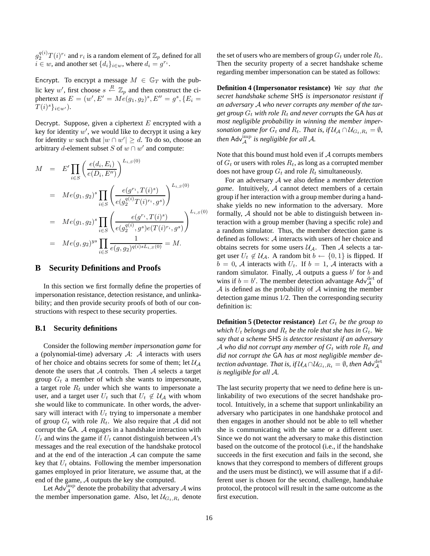$g_2^{q(i)} T(i)^{r_i}$  and  $r_i$  is a random element of  $\mathbb{Z}_p$  defined for all  $i \in w$ , and another set  $\{d_i\}_{i \in w}$ , where  $d_i = g^{r_i}$ .

Encrypt. To encrypt a message  $M \in \mathbb{G}_T$  with the public key w', first choose  $s \stackrel{R}{\leftarrow} \mathbb{Z}_p$  and then construct the ciphertext as  $E = (w', E' = Me(g_1, g_2)^s, E'' = g^s, \{E_i =$  $T(i)^s\}_{i\in w'}$ ).

Decrypt. Suppose, given a ciphertext  $E$  encrypted with a key for identity  $w'$ , we would like to decrypt it using a key for identity w such that  $|w \cap w'| \ge d$ . To do so, choose an arbitrary d-element subset S of  $w \cap w'$  and compute:

$$
M = E' \prod_{i \in S} \left( \frac{e(d_i, E_i)}{e(D_i, E'')}\right)^{L_{i,S}(0)}
$$
  
\n
$$
= Me(g_1, g_2)^s \prod_{i \in S} \left( \frac{e(g^{r_i}, T(i)^s)}{e(g_2^{q(i)}T(i)^{r_i}, g^s)} \right)^{L_{i,S}(0)}
$$
  
\n
$$
= Me(g_1, g_2)^s \prod_{i \in S} \left( \frac{e(g^{r_i}, T(i)^s)}{e(g_2^{q(i)}, g^s)e(T(i)^{r_i}, g^s)} \right)^{L_{i,S}(0)}
$$
  
\n
$$
= Me(g, g_2)^{ys} \prod_{i \in S} \frac{1}{e(g, g_2)^{q(i)sL_{i,S}(0)}} = M.
$$

## **B Security Definitions and Proofs**

In this section we first formally define the properties of impersonation resistance, detection resistance, and unlinkability; and then provide security proofs of both of our constructions with respect to these security properties.

#### **B.1 Security definitions**

Consider the following *member impersonation game* for a (polynomial-time) adversary  $A: A$  interacts with users of her choice and obtains secrets for some of them; let  $\mathcal{U}_{\mathcal{A}}$ denote the users that  $A$  controls. Then  $A$  selects a target group  $G_t$  a member of which she wants to impersonate, a target role  $R_t$  under which she wants to impersonate a user, and a target user  $U_t$  such that  $U_t \notin \mathcal{U}_A$  with whom she would like to communicate. In other words, the adversary will interact with  $U_t$  trying to impersonate a member of group  $G_t$  with role  $R_t$ . We also require that A did not corrupt the GA. A engages in a handshake interaction with  $U_t$  and wins the game if  $U_t$  cannot distinguish between  $\mathcal{A}$ 's messages and the real execution of the handshake protocol and at the end of the interaction  $A$  can compute the same key that  $U_t$  obtains. Following the member impersonation games employed in prior literature, we assume that, at the end of the game, A outputs the key she computed.

Let Adv $\lim_{\mathcal{A}} P$  denote the probability that adversary  $\mathcal A$  wins the member impersonation game. Also, let  $\mathcal{U}_{G_t, R_t}$  denote the set of users who are members of group  $G_t$  under role  $R_t$ . Then the security property of a secret handshake scheme regarding member impersonation can be stated as follows:

**Definition 4 (Impersonator resistance)** *We say that the secret handshake scheme* SHS *is impersonator resistant if an adversary* A *who never corrupts any member of the target group*  $G_t$  *with role*  $R_t$  *and never corrupts the* GA *has at most negligible probability in winning the member impersonation game for*  $G_t$  *and*  $R_t$ *. That is, if*  $\mathcal{U}_A \cap \mathcal{U}_{G_t, R_t} = \emptyset$ *,* then  $\mathsf{Adv}_{\mathcal{A}}^{\text{imp}}$  is negligible for all  $\mathcal{A}$ .

Note that this bound must hold even if  $A$  corrupts members of  $G_t$  or users with roles  $R_t$ , as long as a corrupted member does not have group  $G_t$  and role  $R_t$  simultaneously.

For an adversary A we also define a *member detection game*. Intuitively, A cannot detect members of a certain group if her interaction with a group member during a handshake yields no new information to the adversary. More formally, A should not be able to distinguish between interaction with a group member (having a specific role) and a random simulator. Thus, the member detection game is defined as follows: A interacts with users of her choice and obtains secrets for some users  $U_A$ . Then A selects a target user  $U_t \notin \mathcal{U}_A$ . A random bit  $b \leftarrow \{0, 1\}$  is flipped. If  $b = 0$ , A interacts with  $U_t$ . If  $b = 1$ , A interacts with a random simulator. Finally,  $A$  outputs a guess  $b'$  for  $b$  and wins if  $b = b'$ . The member detection advantage Adv $_{\mathcal{A}}^{\text{det}}$  of  $A$  is defined as the probability of  $A$  winning the member detection game minus 1/2. Then the corresponding security definition is:

**Definition 5 (Detector resistance)** Let  $G_t$  be the group to *which*  $U_t$  *belongs and*  $R_t$  *be the role that she has in*  $G_t$ *. We say that a scheme* SHS *is detector resistant if an adversary* A who did not corrupt any member of  $G_t$  with role  $R_t$  and *did not corrupt the* GA *has at most negligible member de*tection advantage. That is, if  $\mathcal{U}_{\mathcal{A}} \cap \mathcal{U}_{G_t,R_t} = \emptyset$ , then  $\mathsf{Adv}^\mathsf{det}_{\mathcal{A}}$ *is negligible for all* A*.*

The last security property that we need to define here is unlinkability of two executions of the secret handshake protocol. Intuitively, in a scheme that support unlinkability an adversary who participates in one handshake protocol and then engages in another should not be able to tell whether she is communicating with the same or a different user. Since we do not want the adversary to make this distinction based on the outcome of the protocol (i.e., if the handshake succeeds in the first execution and fails in the second, she knows that they correspond to members of different groups and the users must be distinct), we will assume that if a different user is chosen for the second, challenge, handshake protocol, the protocol will result in the same outcome as the first execution.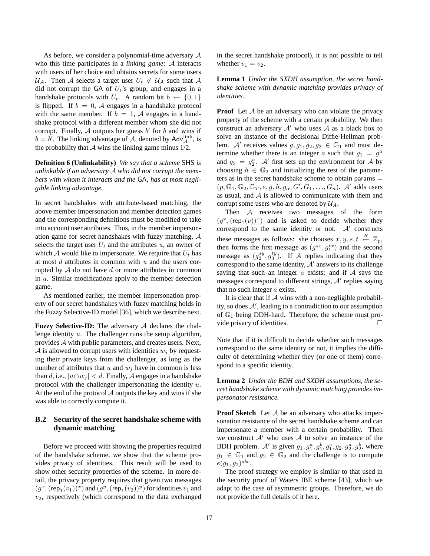As before, we consider a polynomial-time adversary A who this time participates in a *linking game*: A interacts with users of her choice and obtains secrets for some users  $U_A$ . Then A selects a target user  $U_t \notin U_A$  such that A did not corrupt the GA of  $U_t$ 's group, and engages in a handshake protocols with  $U_t$ . A random bit  $b \leftarrow \{0, 1\}$ is flipped. If  $b = 0$ , A engages in a handshake protocol with the same member. If  $b = 1$ , A engages in a handshake protocol with a different member whom she did not corrupt. Finally,  $A$  outputs her guess  $b'$  for  $b$  and wins if  $b = b'$ . The linking advantage of A, denoted by Adv $\mu_A^{\text{link}}$ , is the probability that  $A$  wins the linking game minus  $1/2$ .

**Definition 6 (Unlinkability)** *We say that a scheme* SHS *is unlinkable if an adversary* A *who did not corrupt the members with whom it interacts and the* GA*, has at most negligible linking advantage.*

In secret handshakes with attribute-based matching, the above member impersonation and member detection games and the corresponding definitions must be modified to take into account user attributes. Thus, in the member impersonation game for secret handshakes with fuzzy matching, A selects the target user  $U_t$  and the attributes u, an owner of which A would like to impersonate. We require that  $U_t$  has at most  $d$  attributes in common with  $u$  and the users corrupted by  $A$  do not have  $d$  or more attributes in common in  $u$ . Similar modifications apply to the member detection game.

As mentioned earlier, the member impersonation property of our secret handshakes with fuzzy matching holds in the Fuzzy Selective-ID model [36], which we describe next.

**Fuzzy Selective-ID:** The adversary A declares the challenge identity u. The challenger runs the setup algorithm, provides A with public parameters, and creates users. Next, A is allowed to corrupt users with identities  $w_i$  by requesting their private keys from the challenger, as long as the number of attributes that u and  $w_i$  have in common is less than d, i.e.,  $|u \cap w_i| < d$ . Finally, A engages in a handshake protocol with the challenger impersonating the identity  $u$ . At the end of the protocol  $A$  outputs the key and wins if she was able to correctly compute it.

## **B.2 Security of the secret handshake scheme with dynamic matching**

Before we proceed with showing the properties required of the handshake scheme, we show that the scheme provides privacy of identities. This result will be used to show other security properties of the scheme. In more detail, the privacy property requires that given two messages  $(g^x,(\mathsf{rep}_1(v_1))^x)$  and  $(g^y,(\mathsf{rep}_1(v_2))^y)$  for identities  $v_1$  and  $v_2$ , respectively (which correspond to the data exchanged in the secret handshake protocol), it is not possible to tell whether  $v_1 = v_2$ .

**Lemma 1** *Under the SXDH assumption, the secret handshake scheme with dynamic matching provides privacy of identities.*

**Proof** Let A be an adversary who can violate the privacy property of the scheme with a certain probability. We then construct an adversary  $A'$  who uses A as a black box to solve an instance of the decisional Diffie-Hellman problem. A' receives values  $g, g_1, g_2, g_3 \in \mathbb{G}_1$  and must determine whether there is an integer a such that  $g_1 = g^a$ and  $g_3 = g_2^a$ . A' first sets up the environment for A by choosing  $h \in \mathbb{G}_2$  and initializing the rest of the parameters as in the secret handshake scheme to obtain params  $=$  $(p, \mathbb{G}_1, \mathbb{G}_2, \mathbb{G}_T, e, g, h, g_\alpha, G', G_1, \ldots, G_n)$ . A' adds users as usual, and  $A$  is allowed to communicate with them and corrupt some users who are denoted by  $\mathcal{U}_A$ .

Then A receives two messages of the form  $(g^x,(\operatorname{\mathsf{rep}}_1(v))^x)$  and is asked to decide whether they correspond to the same identity or not.  $A'$  constructs these messages as follows: she chooses  $x, y, s, t \stackrel{R}{\leftarrow} \mathbb{Z}_p$ , then forms the first message as  $(g^{sx}, g_1^{tx})$  and the second message as  $(g_2^{sy}, g_3^{ty})$ . If A replies indicating that they correspond to the same identity,  $A'$  answers to its challenge saying that such an integer  $\alpha$  exists; and if  $\mathcal A$  says the messages correspond to different strings,  $A'$  replies saying that no such integer  $a$  exists.

It is clear that if  $A$  wins with a non-negligible probability, so does  $A'$ , leading to a contradiction to our assumption of  $\mathbb{G}_1$  being DDH-hard. Therefore, the scheme must provide privacy of identities.

Note that if it is difficult to decide whether such messages correspond to the same identity or not, it implies the difficulty of determining whether they (or one of them) correspond to a specific identity.

**Lemma 2** *Under the BDH and SXDH assumptions, the secret handshake scheme with dynamic matching provides impersonator resistance.*

**Proof Sketch** Let A be an adversary who attacks impersonation resistance of the secret handshake scheme and can impersonate a member with a certain probability. Then we construct  $A'$  who uses A to solve an instance of the BDH problem. A' is given  $g_1, g_1^a, g_1^b, g_1^c, g_2, g_2^a, g_2^b$ , where  $g_1 \in \mathbb{G}_1$  and  $g_2 \in \mathbb{G}_2$  and the challenge is to compute  $e(g_1, g_2)^{abc}$ .

The proof strategy we employ is similar to that used in the security proof of Waters IBE scheme [43], which we adapt to the case of asymmetric groups. Therefore, we do not provide the full details of it here.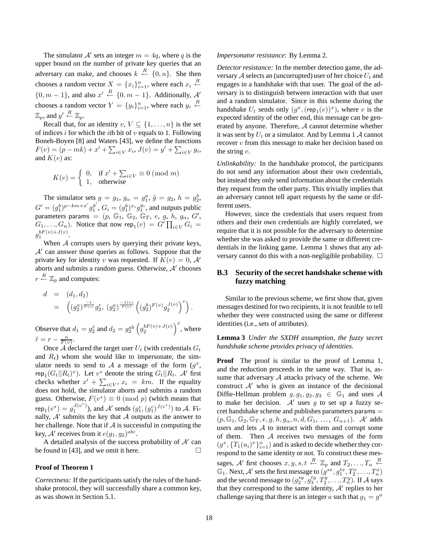The simulator  $A'$  sets an integer  $m = 4q$ , where q is the upper bound on the number of private key queries that an adversary can make, and chooses  $k \stackrel{R}{\leftarrow} \{0, n\}$ . She then chooses a random vector  $X = \{x_i\}_{i=1}^n$ , where each  $x_i \stackrel{R}{\leftarrow}$  $\{0, m-1\}$ , and also  $x' \stackrel{R}{\leftarrow} \{0, m-1\}$ . Additionally, A' chooses a random vector  $Y = \{y_i\}_{i=1}^n$ , where each  $y_i \stackrel{R}{\leftarrow}$  $\mathbb{Z}_p$ , and  $y' \stackrel{R}{\leftarrow} \mathbb{Z}_p$ .

Recall that, for an identity  $v, V \subseteq \{1, \ldots, n\}$  is the set of indices i for which the ith bit of  $v$  equals to 1. Following Boneh-Boyen [8] and Waters [43], we define the functions  $F(v) = (p - mk) + x' + \sum_{i \in V} x_i, J(v) = y' + \sum_{i \in V} y_i,$ and  $K(v)$  as:

$$
K(v) = \begin{cases} 0, & \text{if } x' + \sum_{i \in V} \equiv 0 \pmod{m} \\ 1, & \text{otherwise} \end{cases}
$$

The simulator sets  $g = g_1$ ,  $g_\alpha = g_1^a$ ,  $\tilde{g} = g_2$ ,  $h = g_2^b$ ,  $G' = (g_1^b)^{p-km+x'}g_1^{y'}$  $y'$ ,  $G_i = (g_1^b)^{x_i} g_1^{y_i}$ , and outputs public parameters params =  $(p, \mathbb{G}_1, \mathbb{G}_2, \mathbb{G}_T, e, g, h, g_\alpha, G',$  $(G_1, \ldots, G_n)$ . Notice that now rep $_1(v) = G' \prod_{i \in V} G_i =$  $g_1^{bF(v)+J(v)}$ .

When A corrupts users by querying their private keys,  $A'$  can answer those queries as follows. Suppose that the private key for identity v was requested. If  $K(v) = 0$ , A' aborts and submits a random guess. Otherwise,  $A'$  chooses  $r \stackrel{R}{\leftarrow} \mathbb{Z}_p$  and computes:

$$
\begin{array}{lcl} d & = & (d_1,d_2) \\ & = & \left( (g_2^a)^{\frac{-1}{F(v)}} g_2^r, \ (g_2^a)^{\frac{-J(v)}{F(v)}} \left( (g_2^b)^{F(v)} g_2^{J(v)} \right)^r \right). \end{array}
$$
 Observe that  $d_1 = g_2^{\tilde{r}}$  and  $d_2 = g_2^{ab} \left( g_2^{bF(v) + J(v)} \right)^{\tilde{r}}$ , where

 $\tilde{r} = r - \frac{a}{F(v)}.$ Once  $\mathcal A$  declared the target user  $U_t$  (with credentials  $G_t$ and  $R_t$ ) whom she would like to impersonate, the simulator needs to send to A a message of the form  $(g^x, g^y)$ rep<sub>1</sub> $(G_t||R_t)^x$ ). Let  $v^*$  denote the string  $G_t||R_t$ . A' first checks whether  $x' + \sum_{i \in V^*} x_i = km$ . If the equality does not hold, the simulator aborts and submits a random guess. Otherwise,  $F(v^*) \equiv 0 \pmod{p}$  (which means that  $\exp_1(v^*) = g_1^{J(v^*)}$ , and A' sends  $(g_1^c, (g_1^c)^{J(v^*)})$  to A. Finally,  $A'$  submits the key that  $A$  outputs as the answer to her challenge. Note that if  $A$  is successful in computing the key, A' receives from it  $e(g_1, g_2)^{abc}$ .

A detailed analysis of the success probability of  $A'$  can be found in [43], and we omit it here.  $\Box$ 

#### **Proof of Theorem 1**

*Correctness:* If the participants satisfy the rules of the handshake protocol, they will successfully share a common key, as was shown in Section 5.1.

#### *Impersonator resistance:* By Lemma 2.

*Detector resistance:* In the member detection game, the adversary A selects an (uncorrupted) user of her choice  $U_t$  and engages in a handshake with that user. The goal of the adversary is to distinguish between interaction with that user and a random simulator. Since in this scheme during the handshake  $U_t$  sends only  $(g^x, (\mathsf{rep}_1(v))^x)$ , where v is the expected identity of the other end, this message can be generated by anyone. Therefore, A cannot determine whether it was sent by  $U_t$  or a simulator. And by Lemma 1 A cannot recover v from this message to make her decision based on the string  $v$ .

*Unlinkability:* In the handshake protocol, the participants do not send any information about their own credentials, but instead they only send information about the credentials they request from the other party. This trivially implies that an adversary cannot tell apart requests by the same or different users.

However, since the credentials that users request from others and their own credentials are highly correlated, we require that it is not possible for the adversary to determine whether she was asked to provide the same or different credentials in the linking game. Lemma 1 shows that any adversary cannot do this with a non-negligible probability.  $\square$ 

## **B.3 Security of the secret handshake scheme with fuzzy matching**

Similar to the previous scheme, we first show that, given messages destined for two recipients, it is not feasible to tell whether they were constructed using the same or different identities (i.e., sets of attributes).

## **Lemma 3** *Under the SXDH assumption, the fuzzy secret handshake scheme provides privacy of identities.*

**Proof** The proof is similar to the proof of Lemma 1, and the reduction proceeds in the same way. That is, assume that adversary  $A$  attacks privacy of the scheme. We construct  $A'$  who is given an instance of the decisional Diffie-Hellman problem  $g, g_1, g_2, g_3 \in \mathbb{G}_1$  and uses A to make her decision.  $A'$  uses g to set up a fuzzy secret handshake scheme and publishes parameters params =  $(p, \mathbb{G}_1, \mathbb{G}_2, \mathbb{G}_T, e, g, h, g_\alpha, n, d, G_1, \ldots, G_{n+1}).$  A' adds users and lets  $A$  to interact with them and corrupt some of them. Then  $A$  receives two messages of the form  $(g^x, \{T_1(u_i)^x\}_{i=1}^n)$  and is asked to decide whether they correspond to the same identity or not. To construct these messages, A' first chooses  $x, y, s, t \stackrel{R}{\leftarrow} \mathbb{Z}_p$  and  $T_2, \ldots, T_n \stackrel{R}{\leftarrow}$  $\mathbb{G}_1$ . Next,  $\mathcal{A}'$  sets the first message to  $(g^{sx}, g^{tx}_1, T^x_2, \ldots, T^x_n)$ and the second message to  $(g_2^{sy}, g_3^{ty}, T_2^{y}, \ldots, T_n^{y})$ . If A says that they correspond to the same identity,  $A'$  replies to her challenge saying that there is an integer a such that  $g_1 = g^a$